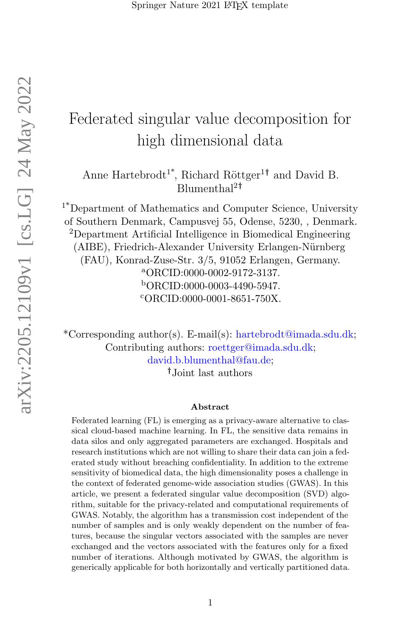# Federated singular value decomposition for high dimensional data

Anne Hartebrodt<sup>1\*</sup>, Richard Röttger<sup>1†</sup> and David B. Blumenthal<sup>2</sup>†

1\*Department of Mathematics and Computer Science, University of Southern Denmark, Campusvej 55, Odense, 5230, , Denmark. <sup>2</sup>Department Artificial Intelligence in Biomedical Engineering (AIBE), Friedrich-Alexander University Erlangen-Nürnberg (FAU), Konrad-Zuse-Str. 3/5, 91052 Erlangen, Germany. <sup>a</sup>ORCID:0000-0002-9172-3137. <sup>b</sup>ORCID:0000-0003-4490-5947. <sup>c</sup>ORCID:0000-0001-8651-750X.

\*Corresponding author(s). E-mail(s): hartebrodt@imada.sdu.dk; Contributing authors: roettger@imada.sdu.dk; david.b.blumenthal@fau.de;

†Joint last authors

#### Abstract

Federated learning (FL) is emerging as a privacy-aware alternative to classical cloud-based machine learning. In FL, the sensitive data remains in data silos and only aggregated parameters are exchanged. Hospitals and research institutions which are not willing to share their data can join a federated study without breaching confidentiality. In addition to the extreme sensitivity of biomedical data, the high dimensionality poses a challenge in the context of federated genome-wide association studies (GWAS). In this article, we present a federated singular value decomposition (SVD) algorithm, suitable for the privacy-related and computational requirements of GWAS. Notably, the algorithm has a transmission cost independent of the number of samples and is only weakly dependent on the number of features, because the singular vectors associated with the samples are never exchanged and the vectors associated with the features only for a fixed number of iterations. Although motivated by GWAS, the algorithm is generically applicable for both horizontally and vertically partitioned data.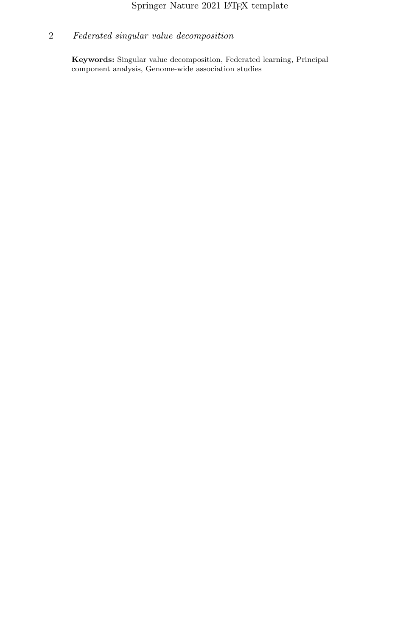## $\operatorname{Springer}$  Nature 2021 LATEX template

## 2 Federated singular value decomposition

Keywords: Singular value decomposition, Federated learning, Principal component analysis, Genome-wide association studies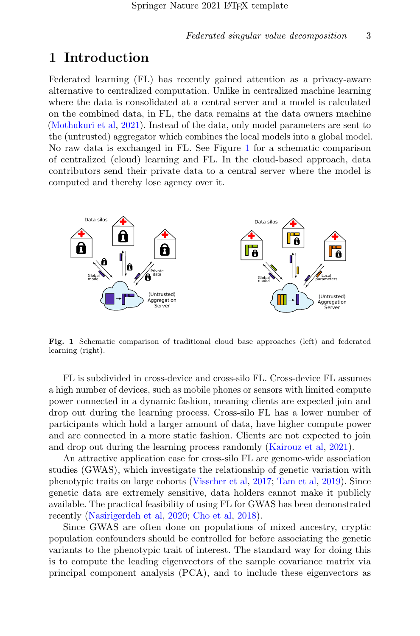## 1 Introduction

Federated learning (FL) has recently gained attention as a privacy-aware alternative to centralized computation. Unlike in centralized machine learning where the data is consolidated at a central server and a model is calculated on the combined data, in FL, the data remains at the data owners machine [\(Mothukuri et al,](#page-34-0) [2021\)](#page-34-0). Instead of the data, only model parameters are sent to the (untrusted) aggregator which combines the local models into a global model. No raw data is exchanged in FL. See Figure [1](#page-2-0) for a schematic comparison of centralized (cloud) learning and FL. In the cloud-based approach, data contributors send their private data to a central server where the model is computed and thereby lose agency over it.



<span id="page-2-0"></span>Fig. 1 Schematic comparison of traditional cloud base approaches (left) and federated learning (right).

FL is subdivided in cross-device and cross-silo FL. Cross-device FL assumes a high number of devices, such as mobile phones or sensors with limited compute power connected in a dynamic fashion, meaning clients are expected join and drop out during the learning process. Cross-silo FL has a lower number of participants which hold a larger amount of data, have higher compute power and are connected in a more static fashion. Clients are not expected to join and drop out during the learning process randomly [\(Kairouz et al,](#page-33-0) [2021\)](#page-33-0).

An attractive application case for cross-silo FL are genome-wide association studies (GWAS), which investigate the relationship of genetic variation with phenotypic traits on large cohorts [\(Visscher et al,](#page-35-0) [2017;](#page-35-0) [Tam et al,](#page-35-1) [2019\)](#page-35-1). Since genetic data are extremely sensitive, data holders cannot make it publicly available. The practical feasibility of using FL for GWAS has been demonstrated recently [\(Nasirigerdeh et al,](#page-34-1) [2020;](#page-34-1) [Cho et al,](#page-32-0) [2018\)](#page-32-0).

Since GWAS are often done on populations of mixed ancestry, cryptic population confounders should be controlled for before associating the genetic variants to the phenotypic trait of interest. The standard way for doing this is to compute the leading eigenvectors of the sample covariance matrix via principal component analysis (PCA), and to include these eigenvectors as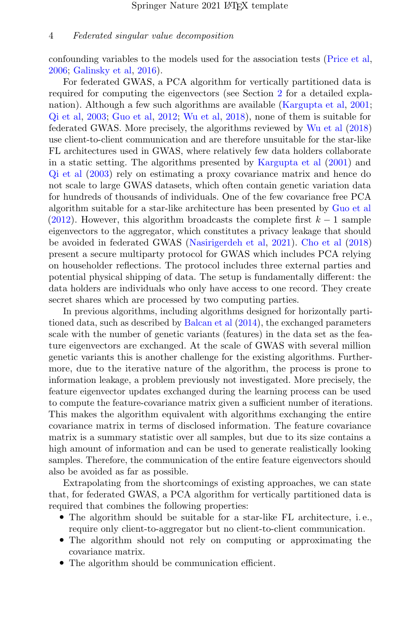confounding variables to the models used for the association tests [\(Price et al,](#page-34-2) [2006;](#page-34-2) [Galinsky et al,](#page-32-1) [2016\)](#page-32-1).

For federated GWAS, a PCA algorithm for vertically partitioned data is required for computing the eigenvectors (see Section [2](#page-5-0) for a detailed explanation). Although a few such algorithms are available [\(Kargupta et al,](#page-33-1) [2001;](#page-33-1) [Qi et al,](#page-34-3) [2003;](#page-34-3) [Guo et al,](#page-33-2) [2012;](#page-33-2) [Wu et al,](#page-35-2) [2018\)](#page-35-2), none of them is suitable for federated GWAS. More precisely, the algorithms reviewed by [Wu et al](#page-35-2) [\(2018\)](#page-35-2) use client-to-client communication and are therefore unsuitable for the star-like FL architectures used in GWAS, where relatively few data holders collaborate in a static setting. The algorithms presented by [Kargupta et al](#page-33-1) [\(2001\)](#page-33-1) and [Qi et al](#page-34-3) [\(2003\)](#page-34-3) rely on estimating a proxy covariance matrix and hence do not scale to large GWAS datasets, which often contain genetic variation data for hundreds of thousands of individuals. One of the few covariance free PCA algorithm suitable for a star-like architecture has been presented by [Guo et al](#page-33-2) [\(2012\)](#page-33-2). However, this algorithm broadcasts the complete first  $k-1$  sample eigenvectors to the aggregator, which constitutes a privacy leakage that should be avoided in federated GWAS [\(Nasirigerdeh et al,](#page-34-4) [2021\)](#page-34-4). [Cho et al](#page-32-0) [\(2018\)](#page-32-0) present a secure multiparty protocol for GWAS which includes PCA relying on householder reflections. The protocol includes three external parties and potential physical shipping of data. The setup is fundamentally different: the data holders are individuals who only have access to one record. They create secret shares which are processed by two computing parties.

In previous algorithms, including algorithms designed for horizontally partitioned data, such as described by [Balcan et al](#page-32-2) [\(2014\)](#page-32-2), the exchanged parameters scale with the number of genetic variants (features) in the data set as the feature eigenvectors are exchanged. At the scale of GWAS with several million genetic variants this is another challenge for the existing algorithms. Furthermore, due to the iterative nature of the algorithm, the process is prone to information leakage, a problem previously not investigated. More precisely, the feature eigenvector updates exchanged during the learning process can be used to compute the feature-covariance matrix given a sufficient number of iterations. This makes the algorithm equivalent with algorithms exchanging the entire covariance matrix in terms of disclosed information. The feature covariance matrix is a summary statistic over all samples, but due to its size contains a high amount of information and can be used to generate realistically looking samples. Therefore, the communication of the entire feature eigenvectors should also be avoided as far as possible.

Extrapolating from the shortcomings of existing approaches, we can state that, for federated GWAS, a PCA algorithm for vertically partitioned data is required that combines the following properties:

- The algorithm should be suitable for a star-like FL architecture, i. e., require only client-to-aggregator but no client-to-client communication.
- The algorithm should not rely on computing or approximating the covariance matrix.
- The algorithm should be communication efficient.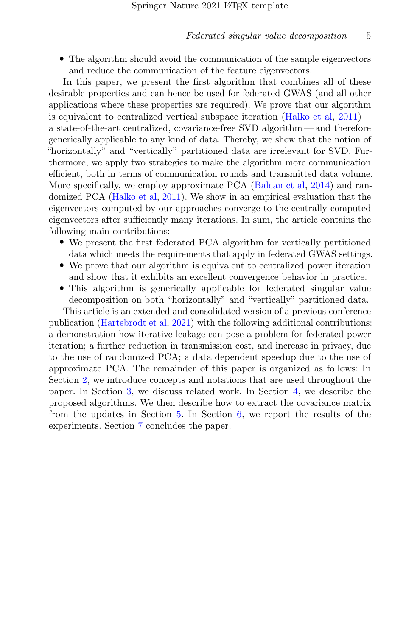• The algorithm should avoid the communication of the sample eigenvectors and reduce the communication of the feature eigenvectors.

In this paper, we present the first algorithm that combines all of these desirable properties and can hence be used for federated GWAS (and all other applications where these properties are required). We prove that our algorithm is equivalent to centralized vertical subspace iteration  $(Halko et al, 2011)$  $(Halko et al, 2011)$  $(Halko et al, 2011)$  a state-of-the-art centralized, covariance-free SVD algorithm— and therefore generically applicable to any kind of data. Thereby, we show that the notion of "horizontally" and "vertically" partitioned data are irrelevant for SVD. Furthermore, we apply two strategies to make the algorithm more communication efficient, both in terms of communication rounds and transmitted data volume. More specifically, we employ approximate PCA [\(Balcan et al,](#page-32-2) [2014\)](#page-32-2) and randomized PCA [\(Halko et al,](#page-33-3) [2011\)](#page-33-3). We show in an empirical evaluation that the eigenvectors computed by our approaches converge to the centrally computed eigenvectors after sufficiently many iterations. In sum, the article contains the following main contributions:

- We present the first federated PCA algorithm for vertically partitioned data which meets the requirements that apply in federated GWAS settings.
- We prove that our algorithm is equivalent to centralized power iteration and show that it exhibits an excellent convergence behavior in practice.
- This algorithm is generically applicable for federated singular value decomposition on both "horizontally" and "vertically" partitioned data.

This article is an extended and consolidated version of a previous conference publication [\(Hartebrodt et al,](#page-33-4) [2021\)](#page-33-4) with the following additional contributions: a demonstration how iterative leakage can pose a problem for federated power iteration; a further reduction in transmission cost, and increase in privacy, due to the use of randomized PCA; a data dependent speedup due to the use of approximate PCA. The remainder of this paper is organized as follows: In Section [2,](#page-5-0) we introduce concepts and notations that are used throughout the paper. In Section [3,](#page-10-0) we discuss related work. In Section [4,](#page-13-0) we describe the proposed algorithms. We then describe how to extract the covariance matrix from the updates in Section [5.](#page-22-0) In Section [6,](#page-25-0) we report the results of the experiments. Section [7](#page-31-0) concludes the paper.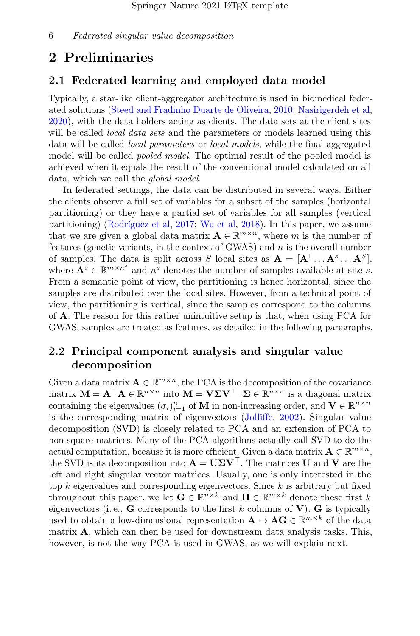## <span id="page-5-0"></span>2 Preliminaries

### 2.1 Federated learning and employed data model

Typically, a star-like client-aggregator architecture is used in biomedical federated solutions [\(Steed and Fradinho Duarte de Oliveira,](#page-35-3) [2010;](#page-35-3) [Nasirigerdeh et al,](#page-34-1) [2020\)](#page-34-1), with the data holders acting as clients. The data sets at the client sites will be called *local data sets* and the parameters or models learned using this data will be called local parameters or local models, while the final aggregated model will be called *pooled model*. The optimal result of the pooled model is achieved when it equals the result of the conventional model calculated on all data, which we call the global model.

In federated settings, the data can be distributed in several ways. Either the clients observe a full set of variables for a subset of the samples (horizontal partitioning) or they have a partial set of variables for all samples (vertical partitioning) (Rodríguez et al,  $2017$ ; [Wu et al,](#page-35-2)  $2018$ ). In this paper, we assume that we are given a global data matrix  $\mathbf{A} \in \mathbb{R}^{m \times n}$ , where m is the number of features (genetic variants, in the context of GWAS) and  $n$  is the overall number of samples. The data is split across S local sites as  $\mathbf{A} = [\mathbf{A}^1 \dots \mathbf{A}^s \dots \mathbf{A}^S],$ where  $\mathbf{A}^s \in \mathbb{R}^{m \times n^s}$  and  $n^s$  denotes the number of samples available at site s. From a semantic point of view, the partitioning is hence horizontal, since the samples are distributed over the local sites. However, from a technical point of view, the partitioning is vertical, since the samples correspond to the columns of A. The reason for this rather unintuitive setup is that, when using PCA for GWAS, samples are treated as features, as detailed in the following paragraphs.

### 2.2 Principal component analysis and singular value decomposition

Given a data matrix  $\mathbf{A} \in \mathbb{R}^{m \times n}$ , the PCA is the decomposition of the covariance matrix  $M = A^{\top} A \in \mathbb{R}^{n \times n}$  into  $M = V \Sigma V^{\top}$ .  $\Sigma \in \mathbb{R}^{n \times n}$  is a diagonal matrix containing the eigenvalues  $(\sigma_i)_{i=1}^n$  of **M** in non-increasing order, and **V**  $\in \mathbb{R}^{n \times n}$ is the corresponding matrix of eigenvectors [\(Jolliffe,](#page-33-5) [2002\)](#page-33-5). Singular value decomposition (SVD) is closely related to PCA and an extension of PCA to non-square matrices. Many of the PCA algorithms actually call SVD to do the actual computation, because it is more efficient. Given a data matrix  $\mathbf{A} \in \mathbb{R}^{m \times n}$ , the SVD is its decomposition into  $\mathbf{A} = \mathbf{U} \Sigma \mathbf{V}^{\top}$ . The matrices U and V are the left and right singular vector matrices. Usually, one is only interested in the top k eigenvalues and corresponding eigenvectors. Since  $k$  is arbitrary but fixed throughout this paper, we let  $\mathbf{G} \in \mathbb{R}^{n \times k}$  and  $\mathbf{H} \in \mathbb{R}^{m \times k}$  denote these first k eigenvectors (i.e., **G** corresponds to the first k columns of **V**). **G** is typically used to obtain a low-dimensional representation  $\mathbf{A} \mapsto \mathbf{A}\mathbf{G} \in \mathbb{R}^{m \times k}$  of the data matrix A, which can then be used for downstream data analysis tasks. This, however, is not the way PCA is used in GWAS, as we will explain next.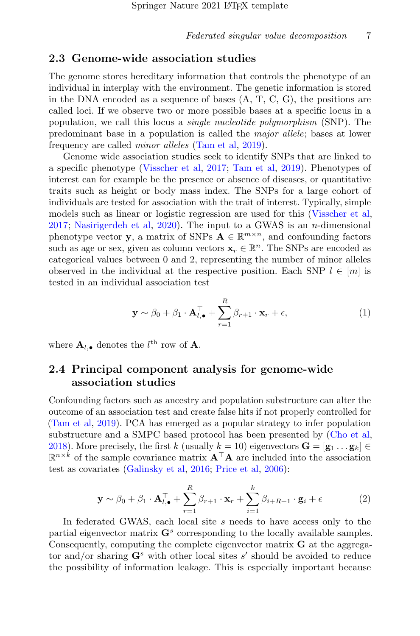#### 2.3 Genome-wide association studies

The genome stores hereditary information that controls the phenotype of an individual in interplay with the environment. The genetic information is stored in the DNA encoded as a sequence of bases  $(A, T, C, G)$ , the positions are called loci. If we observe two or more possible bases at a specific locus in a population, we call this locus a single nucleotide polymorphism (SNP). The predominant base in a population is called the major allele; bases at lower frequency are called minor alleles [\(Tam et al,](#page-35-1) [2019\)](#page-35-1).

Genome wide association studies seek to identify SNPs that are linked to a specific phenotype [\(Visscher et al,](#page-35-0) [2017;](#page-35-0) [Tam et al,](#page-35-1) [2019\)](#page-35-1). Phenotypes of interest can for example be the presence or absence of diseases, or quantitative traits such as height or body mass index. The SNPs for a large cohort of individuals are tested for association with the trait of interest. Typically, simple models such as linear or logistic regression are used for this [\(Visscher et al,](#page-35-0) [2017;](#page-35-0) [Nasirigerdeh et al,](#page-34-1) [2020\)](#page-34-1). The input to a GWAS is an *n*-dimensional phenotype vector **y**, a matrix of SNPs  $A \in \mathbb{R}^{m \times n}$ , and confounding factors such as age or sex, given as column vectors  $\mathbf{x}_r \in \mathbb{R}^n$ . The SNPs are encoded as categorical values between 0 and 2, representing the number of minor alleles observed in the individual at the respective position. Each SNP  $l \in [m]$  is tested in an individual association test

$$
\mathbf{y} \sim \beta_0 + \beta_1 \cdot \mathbf{A}_{l,\bullet}^{\top} + \sum_{r=1}^{R} \beta_{r+1} \cdot \mathbf{x}_r + \epsilon,
$$
 (1)

where  $\mathbf{A}_{l,\bullet}$  denotes the  $l^{\text{th}}$  row of  $\mathbf{A}$ .

### 2.4 Principal component analysis for genome-wide association studies

Confounding factors such as ancestry and population substructure can alter the outcome of an association test and create false hits if not properly controlled for [\(Tam et al,](#page-35-1) [2019\)](#page-35-1). PCA has emerged as a popular strategy to infer population substructure and a SMPC based protocol has been presented by [\(Cho et al,](#page-32-0) [2018\)](#page-32-0). More precisely, the first k (usually  $k = 10$ ) eigenvectors  $\mathbf{G} = [\mathbf{g}_1 \dots \mathbf{g}_k] \in$  $\mathbb{R}^{n \times k}$  of the sample covariance matrix  $\mathbf{A}^{\top} \mathbf{A}$  are included into the association test as covariates [\(Galinsky et al,](#page-32-1) [2016;](#page-32-1) [Price et al,](#page-34-2) [2006\)](#page-34-2):

$$
\mathbf{y} \sim \beta_0 + \beta_1 \cdot \mathbf{A}_{l,\bullet}^{\top} + \sum_{r=1}^{R} \beta_{r+1} \cdot \mathbf{x}_r + \sum_{i=1}^{k} \beta_{i+R+1} \cdot \mathbf{g}_i + \epsilon
$$
 (2)

In federated GWAS, each local site s needs to have access only to the partial eigenvector matrix  $G<sup>s</sup>$  corresponding to the locally available samples. Consequently, computing the complete eigenvector matrix G at the aggregator and/or sharing  $G^s$  with other local sites s' should be avoided to reduce the possibility of information leakage. This is especially important because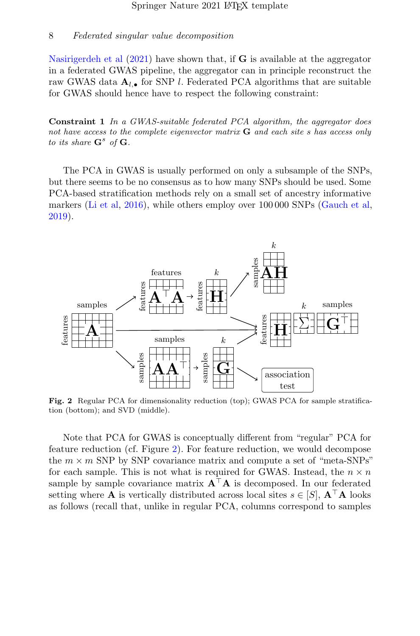[Nasirigerdeh et al](#page-34-4)  $(2021)$  have shown that, if **G** is available at the aggregator in a federated GWAS pipeline, the aggregator can in principle reconstruct the raw GWAS data  $A_{l,\bullet}$  for SNP *l*. Federated PCA algorithms that are suitable for GWAS should hence have to respect the following constraint:

<span id="page-7-1"></span>Constraint 1 In a GWAS-suitable federated PCA algorithm, the aggregator does not have access to the complete eigenvector matrix  $\bf{G}$  and each site s has access only to its share  $\mathbf{G}^s$  of  $\mathbf{G}$ .

The PCA in GWAS is usually performed on only a subsample of the SNPs, but there seems to be no consensus as to how many SNPs should be used. Some PCA-based stratification methods rely on a small set of ancestry informative markers [\(Li et al,](#page-34-5) [2016\)](#page-34-5), while others employ over 100 000 SNPs [\(Gauch et al,](#page-32-3) [2019\)](#page-32-3).



<span id="page-7-0"></span>Fig. 2 Regular PCA for dimensionality reduction (top); GWAS PCA for sample stratification (bottom); and SVD (middle).

Note that PCA for GWAS is conceptually different from "regular" PCA for feature reduction (cf. Figure [2\)](#page-7-0). For feature reduction, we would decompose the  $m \times m$  SNP by SNP covariance matrix and compute a set of "meta-SNPs" for each sample. This is not what is required for GWAS. Instead, the  $n \times n$ sample by sample covariance matrix  $A^{\top}A$  is decomposed. In our federated setting where **A** is vertically distributed across local sites  $s \in [S], \mathbf{A}^{\top} \mathbf{A}$  looks as follows (recall that, unlike in regular PCA, columns correspond to samples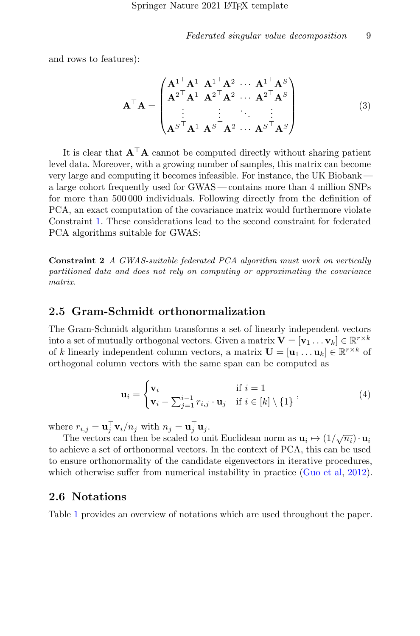and rows to features):

$$
\mathbf{A}^{\top}\mathbf{A} = \begin{pmatrix} \mathbf{A}^1 \mathbf{A}^1 \mathbf{A}^1 \mathbf{A}^2 \cdots \mathbf{A}^1 \mathbf{A}^S \\ \mathbf{A}^2 \mathbf{A}^1 \mathbf{A}^2 \mathbf{A}^2 \cdots \mathbf{A}^2 \mathbf{A}^S \\ \vdots & \vdots & \ddots & \vdots \\ \mathbf{A}^S \mathbf{A}^1 \mathbf{A}^S \mathbf{A}^2 \cdots \mathbf{A}^S \mathbf{A}^S \end{pmatrix}
$$
(3)

It is clear that  $\mathbf{A}^\top \mathbf{A}$  cannot be computed directly without sharing patient level data. Moreover, with a growing number of samples, this matrix can become very large and computing it becomes infeasible. For instance, the UK Biobank a large cohort frequently used for GWAS — contains more than 4 million SNPs for more than 500 000 individuals. Following directly from the definition of PCA, an exact computation of the covariance matrix would furthermore violate Constraint [1.](#page-7-1) These considerations lead to the second constraint for federated PCA algorithms suitable for GWAS:

<span id="page-8-0"></span>Constraint 2 A GWAS-suitable federated PCA algorithm must work on vertically partitioned data and does not rely on computing or approximating the covariance matrix.

#### 2.5 Gram-Schmidt orthonormalization

The Gram-Schmidt algorithm transforms a set of linearly independent vectors into a set of mutually orthogonal vectors. Given a matrix  $\mathbf{V} = [\mathbf{v}_1 \dots \mathbf{v}_k] \in \mathbb{R}^{r \times k}$ of k linearly independent column vectors, a matrix  $\mathbf{U} = [\mathbf{u}_1 \dots \mathbf{u}_k] \in \mathbb{R}^{r \times k}$  of orthogonal column vectors with the same span can be computed as

$$
\mathbf{u}_{i} = \begin{cases} \mathbf{v}_{i} & \text{if } i = 1\\ \mathbf{v}_{i} - \sum_{j=1}^{i-1} r_{i,j} \cdot \mathbf{u}_{j} & \text{if } i \in [k] \setminus \{1\} \end{cases}, \tag{4}
$$

where  $r_{i,j} = \mathbf{u}_j^{\top} \mathbf{v}_i / n_j$  with  $n_j = \mathbf{u}_j^{\top} \mathbf{u}_j$ .

The vectors can then be scaled to unit Euclidean norm as  $\mathbf{u}_i \mapsto (1/\sqrt{n_i}) \cdot \mathbf{u}_i$ to achieve a set of orthonormal vectors. In the context of PCA, this can be used to ensure orthonormality of the candidate eigenvectors in iterative procedures, which otherwise suffer from numerical instability in practice [\(Guo et al,](#page-33-2) [2012\)](#page-33-2).

### 2.6 Notations

Table [1](#page-9-0) provides an overview of notations which are used throughout the paper.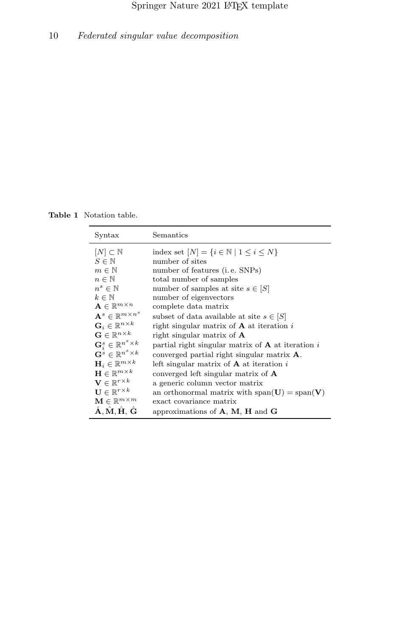Table 1 Notation table.

<span id="page-9-0"></span>

| Syntax                                                                   | Semantics                                                   |
|--------------------------------------------------------------------------|-------------------------------------------------------------|
| $[N] \subset \mathbb{N}$                                                 | index set $[N] = \{i \in \mathbb{N} \mid 1 \leq i \leq N\}$ |
| $S \in \mathbb{N}$                                                       | number of sites                                             |
| $m \in \mathbb{N}$                                                       | number of features ( <i>i.e.</i> SNPs)                      |
| $n \in \mathbb{N}$                                                       | total number of samples                                     |
| $n^s \in \mathbb{N}$                                                     | number of samples at site $s \in  S $                       |
| $k \in \mathbb{N}$                                                       | number of eigenvectors                                      |
| $\mathbf{A} \in \mathbb{R}^{m \times n}$                                 | complete data matrix                                        |
| $\mathbf{A}^{s} \in \mathbb{R}^{m \times n^{s}}$                         | subset of data available at site $s \in  S $                |
| $\mathbf{G}_i \in \mathbb{R}^{n \times k}$                               | right singular matrix of $A$ at iteration i                 |
| $\mathbf{G} \in \mathbb{R}^{n \times k}$                                 | right singular matrix of $\bf{A}$                           |
| $\mathbf{G}^s_i \in \mathbb{R}^{n^s \times k}$                           | partial right singular matrix of $A$ at iteration i         |
| $\mathbf{G}^s \in \mathbb{R}^{n^s \times k}$                             | converged partial right singular matrix $\bf{A}$ .          |
| $\mathbf{H}_i \in \mathbb{R}^{m \times k}$                               | left singular matrix of $\bf{A}$ at iteration i             |
| $\mathbf{H} \in \mathbb{R}^{m \times k}$                                 | converged left singular matrix of $\bf{A}$                  |
| $\mathbf{V} \in \mathbb{R}^{r \times k}$                                 | a generic column vector matrix                              |
| $\mathbf{U} \in \mathbb{R}^{r \times k}$                                 | an orthonormal matrix with span( $U$ ) = span( $V$ )        |
| $\mathbf{M} \in \mathbb{R}^{m \times m}$                                 | exact covariance matrix                                     |
| $\hat{\mathbf{A}}, \hat{\mathbf{M}}, \hat{\mathbf{H}}, \hat{\mathbf{G}}$ | approximations of $A$ , $M$ , $H$ and $G$                   |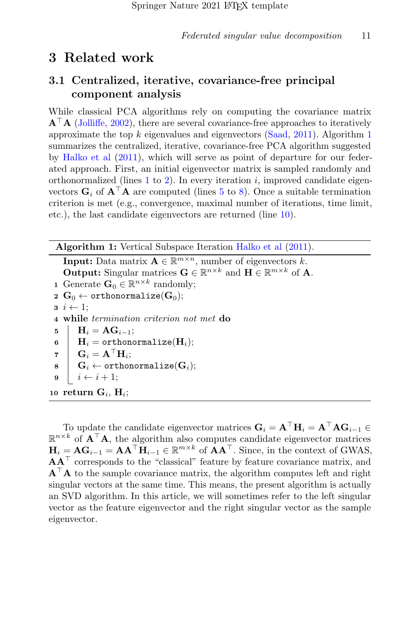## <span id="page-10-0"></span>3 Related work

### 3.1 Centralized, iterative, covariance-free principal component analysis

While classical PCA algorithms rely on computing the covariance matrix  $A^{\top}A$  [\(Jolliffe,](#page-33-5) [2002\)](#page-33-5), there are several covariance-free approaches to iteratively approximate the top  $k$  eigenvalues and eigenvectors [\(Saad,](#page-35-5) [2011\)](#page-35-5). Algorithm [1](#page-10-1) summarizes the centralized, iterative, covariance-free PCA algorithm suggested by [Halko et al](#page-33-3) [\(2011\)](#page-33-3), which will serve as point of departure for our federated approach. First, an initial eigenvector matrix is sampled randomly and orthonormalized (lines  $1$  to  $2$ ). In every iteration i, improved candidate eigenvectors  $\mathbf{G}_i$  of  $\mathbf{A}^\top \mathbf{A}$  are computed (lines [5](#page-10-4) to [8\)](#page-10-5). Once a suitable termination criterion is met (e.g., convergence, maximal number of iterations, time limit, etc.), the last candidate eigenvectors are returned (line [10\)](#page-10-6).

Algorithm 1: Vertical Subspace Iteration [Halko et al](#page-33-3)  $(2011)$ .

<span id="page-10-4"></span><span id="page-10-3"></span><span id="page-10-2"></span><span id="page-10-1"></span>**Input:** Data matrix  $\mathbf{A} \in \mathbb{R}^{m \times n}$ , number of eigenvectors k. **Output:** Singular matrices  $\mathbf{G} \in \mathbb{R}^{n \times k}$  and  $\mathbf{H} \in \mathbb{R}^{m \times k}$  of **A**. **1** Generate  $\mathbf{G}_0 \in \mathbb{R}^{n \times k}$  randomly; 2  $\mathbf{G}_0 \leftarrow \text{orthonormalize}(\mathbf{G}_0);$  $\mathbf{3}$   $i \leftarrow 1$ ; 4 while termination criterion not met do  $\textbf{5} \quad | \quad \textbf{H}_i = \textbf{A}\textbf{G}_{i-1};$  $\begin{aligned} \mathbf{6} \quad | \quad \mathbf{H}_i = \texttt{orthonormalize}(\mathbf{H}_i); \end{aligned}$  $\mathbf{G}_i = \mathbf{A}^\top \mathbf{H}_i;$  $\begin{aligned} \textbf{s} \quad & \mid \quad \textbf{G}_i \leftarrow \text{orthonormalize}(\textbf{G}_i); \end{aligned}$  $i \leftarrow i + 1;$ 10 return  $\mathbf{G}_i$ ,  $\mathbf{H}_i$ ;

<span id="page-10-7"></span><span id="page-10-6"></span><span id="page-10-5"></span>To update the candidate eigenvector matrices  $\mathbf{G}_i = \mathbf{A}^\top \mathbf{H}_i = \mathbf{A}^\top \mathbf{A} \mathbf{G}_{i-1} \in$  $\mathbb{R}^{n \times k}$  of  $\mathbf{A}^{\top} \mathbf{A}$ , the algorithm also computes candidate eigenvector matrices  $\mathbf{H}_i = \mathbf{A}\mathbf{G}_{i-1} = \mathbf{A}\mathbf{A}^{\top}\mathbf{H}_{i-1} \in \mathbb{R}^{m \times k}$  of  $\mathbf{A}\mathbf{A}^{\top}$ . Since, in the context of GWAS,  $\mathbf{A}\mathbf{A}^\top$  corresponds to the "classical" feature by feature covariance matrix, and  $A^{\top}A$  to the sample covariance matrix, the algorithm computes left and right singular vectors at the same time. This means, the present algorithm is actually an SVD algorithm. In this article, we will sometimes refer to the left singular vector as the feature eigenvector and the right singular vector as the sample eigenvector.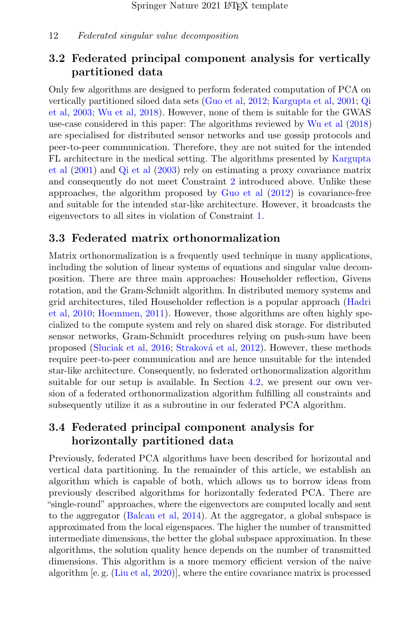## 3.2 Federated principal component analysis for vertically partitioned data

Only few algorithms are designed to perform federated computation of PCA on vertically partitioned siloed data sets [\(Guo et al,](#page-33-2) [2012;](#page-33-2) [Kargupta et al,](#page-33-1) [2001;](#page-33-1) [Qi](#page-34-3) [et al,](#page-34-3) [2003;](#page-34-3) [Wu et al,](#page-35-2) [2018\)](#page-35-2). However, none of them is suitable for the GWAS use-case considered in this paper: The algorithms reviewed by [Wu et al](#page-35-2) [\(2018\)](#page-35-2) are specialised for distributed sensor networks and use gossip protocols and peer-to-peer communication. Therefore, they are not suited for the intended FL architecture in the medical setting. The algorithms presented by [Kargupta](#page-33-1) [et al](#page-33-1) [\(2001\)](#page-33-1) and [Qi et al](#page-34-3) [\(2003\)](#page-34-3) rely on estimating a proxy covariance matrix and consequently do not meet Constraint [2](#page-8-0) introduced above. Unlike these approaches, the algorithm proposed by [Guo et al](#page-33-2) [\(2012\)](#page-33-2) is covariance-free and suitable for the intended star-like architecture. However, it broadcasts the eigenvectors to all sites in violation of Constraint [1.](#page-7-1)

#### 3.3 Federated matrix orthonormalization

Matrix orthonormalization is a frequently used technique in many applications, including the solution of linear systems of equations and singular value decomposition. There are three main approaches: Householder reflection, Givens rotation, and the Gram-Schmidt algorithm. In distributed memory systems and grid architectures, tiled Householder reflection is a popular approach [\(Hadri](#page-33-6) [et al,](#page-33-6) [2010;](#page-33-6) [Hoemmen,](#page-33-7) [2011\)](#page-33-7). However, those algorithms are often highly specialized to the compute system and rely on shared disk storage. For distributed sensor networks, Gram-Schmidt procedures relying on push-sum have been proposed [\(Sluciak et al,](#page-35-6) [2016;](#page-35-6) Straková et al, [2012\)](#page-35-7). However, these methods require peer-to-peer communication and are hence unsuitable for the intended star-like architecture. Consequently, no federated orthonormalization algorithm suitable for our setup is available. In Section [4.2,](#page-15-0) we present our own version of a federated orthonormalization algorithm fulfilling all constraints and subsequently utilize it as a subroutine in our federated PCA algorithm.

## 3.4 Federated principal component analysis for horizontally partitioned data

Previously, federated PCA algorithms have been described for horizontal and vertical data partitioning. In the remainder of this article, we establish an algorithm which is capable of both, which allows us to borrow ideas from previously described algorithms for horizontally federated PCA. There are "single-round" approaches, where the eigenvectors are computed locally and sent to the aggregator [\(Balcan et al,](#page-32-2) [2014\)](#page-32-2). At the aggregator, a global subspace is approximated from the local eigenspaces. The higher the number of transmitted intermediate dimensions, the better the global subspace approximation. In these algorithms, the solution quality hence depends on the number of transmitted dimensions. This algorithm is a more memory efficient version of the naive algorithm [e. g. [\(Liu et al,](#page-34-6) [2020\)](#page-34-6)], where the entire covariance matrix is processed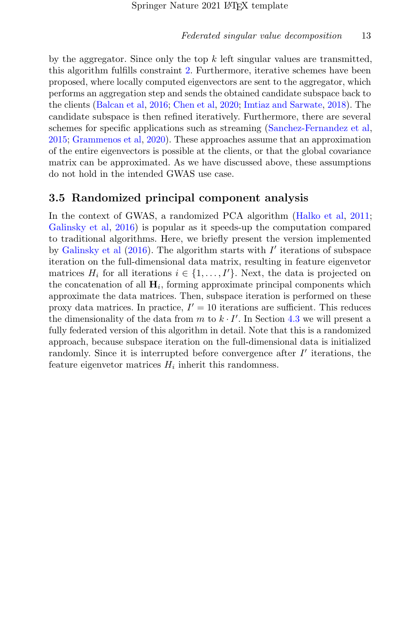by the aggregator. Since only the top  $k$  left singular values are transmitted, this algorithm fulfills constraint [2.](#page-8-0) Furthermore, iterative schemes have been proposed, where locally computed eigenvectors are sent to the aggregator, which performs an aggregation step and sends the obtained candidate subspace back to the clients [\(Balcan et al,](#page-32-4) [2016;](#page-32-4) [Chen et al,](#page-32-5) [2020;](#page-32-5) [Imtiaz and Sarwate,](#page-33-8) [2018\)](#page-33-8). The candidate subspace is then refined iteratively. Furthermore, there are several schemes for specific applications such as streaming [\(Sanchez-Fernandez et al,](#page-35-8) [2015;](#page-35-8) [Grammenos et al,](#page-33-9) [2020\)](#page-33-9). These approaches assume that an approximation of the entire eigenvectors is possible at the clients, or that the global covariance matrix can be approximated. As we have discussed above, these assumptions do not hold in the intended GWAS use case.

#### 3.5 Randomized principal component analysis

In the context of GWAS, a randomized PCA algorithm [\(Halko et al,](#page-33-3) [2011;](#page-33-3) [Galinsky et al,](#page-32-1) [2016\)](#page-32-1) is popular as it speeds-up the computation compared to traditional algorithms. Here, we briefly present the version implemented by [Galinsky et al](#page-32-1)  $(2016)$ . The algorithm starts with  $I'$  iterations of subspace iteration on the full-dimensional data matrix, resulting in feature eigenvetor matrices  $H_i$  for all iterations  $i \in \{1, \ldots, I'\}$ . Next, the data is projected on the concatenation of all  $H_i$ , forming approximate principal components which approximate the data matrices. Then, subspace iteration is performed on these proxy data matrices. In practice,  $I' = 10$  iterations are sufficient. This reduces the dimensionality of the data from  $m$  to  $k \cdot I'$ . In Section [4.3](#page-17-0) we will present a fully federated version of this algorithm in detail. Note that this is a randomized approach, because subspace iteration on the full-dimensional data is initialized randomly. Since it is interrupted before convergence after  $I'$  iterations, the feature eigenvetor matrices  $H_i$  inherit this randomness.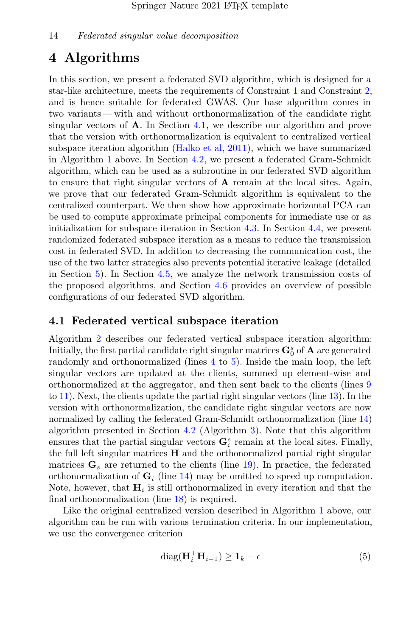## <span id="page-13-0"></span>4 Algorithms

In this section, we present a federated SVD algorithm, which is designed for a star-like architecture, meets the requirements of Constraint [1](#page-7-1) and Constraint [2,](#page-8-0) and is hence suitable for federated GWAS. Our base algorithm comes in two variants— with and without orthonormalization of the candidate right singular vectors of  $\bf{A}$ . In Section [4.1,](#page-13-1) we describe our algorithm and prove that the version with orthonormalization is equivalent to centralized vertical subspace iteration algorithm [\(Halko et al,](#page-33-3) [2011\)](#page-33-3), which we have summarized in Algorithm [1](#page-10-1) above. In Section [4.2,](#page-15-0) we present a federated Gram-Schmidt algorithm, which can be used as a subroutine in our federated SVD algorithm to ensure that right singular vectors of A remain at the local sites. Again, we prove that our federated Gram-Schmidt algorithm is equivalent to the centralized counterpart. We then show how approximate horizontal PCA can be used to compute approximate principal components for immediate use or as initialization for subspace iteration in Section [4.3.](#page-17-0) In Section [4.4,](#page-18-0) we present randomized federated subspace iteration as a means to reduce the transmission cost in federated SVD. In addition to decreasing the communication cost, the use of the two latter strategies also prevents potential iterative leakage (detailed in Section [5\)](#page-22-0). In Section [4.5,](#page-19-0) we analyze the network transmission costs of the proposed algorithms, and Section [4.6](#page-21-0) provides an overview of possible configurations of our federated SVD algorithm.

#### <span id="page-13-1"></span>4.1 Federated vertical subspace iteration

Algorithm [2](#page-14-0) describes our federated vertical subspace iteration algorithm: Initially, the first partial candidate right singular matrices  $\mathbf{G}_0^s$  of  $\mathbf{A}$  are generated randomly and orthonormalized (lines [4](#page-14-1) to [5\)](#page-14-2). Inside the main loop, the left singular vectors are updated at the clients, summed up element-wise and orthonormalized at the aggregator, and then sent back to the clients (lines [9](#page-14-3) to [11\)](#page-14-4). Next, the clients update the partial right singular vectors (line [13\)](#page-14-5). In the version with orthonormalization, the candidate right singular vectors are now normalized by calling the federated Gram-Schmidt orthonormalization (line [14\)](#page-14-6) algorithm presented in Section [4.2](#page-15-0) (Algorithm [3\)](#page-16-0). Note that this algorithm ensures that the partial singular vectors  $\mathbf{G}_i^s$  remain at the local sites. Finally, the full left singular matrices  $H$  and the orthonormalized partial right singular matrices  $\mathbf{G}_s$  are returned to the clients (line [19\)](#page-14-7). In practice, the federated orthonormalization of  $\mathbf{G}_i$  (line [14\)](#page-14-6) may be omitted to speed up computation. Note, however, that  $H_i$  is still orthonormalized in every iteration and that the final orthonormalization (line [18\)](#page-14-8) is required.

Like the original centralized version described in Algorithm [1](#page-10-1) above, our algorithm can be run with various termination criteria. In our implementation, we use the convergence criterion

<span id="page-13-2"></span>
$$
\text{diag}(\mathbf{H}_i^\top \mathbf{H}_{i-1}) \ge \mathbf{1}_k - \epsilon \tag{5}
$$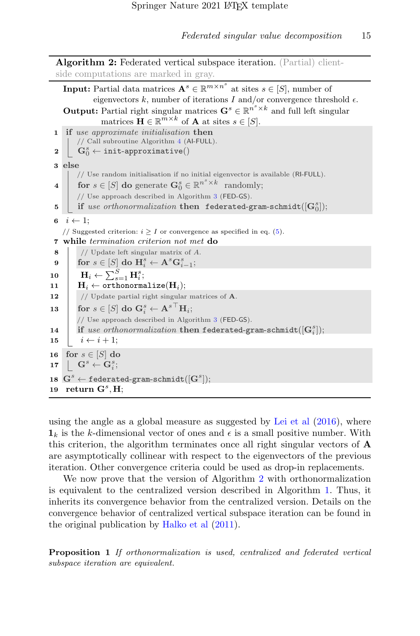<span id="page-14-10"></span><span id="page-14-2"></span><span id="page-14-1"></span><span id="page-14-0"></span>

|                  | <b>Algorithm 2:</b> Federated vertical subspace iteration. (Partial) client-                                                                                                                               |  |  |  |  |
|------------------|------------------------------------------------------------------------------------------------------------------------------------------------------------------------------------------------------------|--|--|--|--|
|                  | side computations are marked in gray.                                                                                                                                                                      |  |  |  |  |
|                  | <b>Input:</b> Partial data matrices $A^s \in \mathbb{R}^{m \times n^s}$ at sites $s \in [S]$ , number of<br>eigenvectors k, number of iterations I and/or convergence threshold $\epsilon$ .               |  |  |  |  |
|                  | <b>Output:</b> Partial right singular matrices $\mathbf{G}^s \in \mathbb{R}^{n^s \times k}$ and full left singular<br>matrices $\mathbf{H} \in \mathbb{R}^{m \times k}$ of <b>A</b> at sites $s \in [S]$ . |  |  |  |  |
| $\mathbf{1}$     | if use approximate initialisation then                                                                                                                                                                     |  |  |  |  |
|                  | // Call subroutine Algorithm 4 (Al-FULL).                                                                                                                                                                  |  |  |  |  |
| 2                | $\mathbf{G}_0^s \leftarrow \texttt{init-approximate}()$                                                                                                                                                    |  |  |  |  |
|                  | 3 else                                                                                                                                                                                                     |  |  |  |  |
|                  | // Use random initialisation if no initial eigenvector is available (RI-FULL).<br>for $s \in [S]$ do generate $\mathbf{G}_0^s \in \mathbb{R}^{n^s \times k}$ randomly;                                     |  |  |  |  |
| $\boldsymbol{4}$ | // Use approach described in Algorithm 3 (FED-GS).                                                                                                                                                         |  |  |  |  |
| 5                | if use orthonormalization then federated-gram-schmidt( $[G_0^s]$ );                                                                                                                                        |  |  |  |  |
|                  |                                                                                                                                                                                                            |  |  |  |  |
| 6                | $i \leftarrow 1$ ;                                                                                                                                                                                         |  |  |  |  |
|                  | // Suggested criterion: $i \geq I$ or convergence as specified in eq. (5).<br>7 while termination criterion not met do                                                                                     |  |  |  |  |
| 8                | // Update left singular matrix of $A$ .                                                                                                                                                                    |  |  |  |  |
| 9                | for $s \in [S]$ do $\mathbf{H}_{i}^{s} \leftarrow \mathbf{A}^{s} \mathbf{G}_{i-1}^{s}$ ;                                                                                                                   |  |  |  |  |
| 10               | $\mathbf{H}_i \leftarrow \sum_{s=1}^S \mathbf{H}_i^s;$                                                                                                                                                     |  |  |  |  |
| 11               | $\mathbf{H}_i \leftarrow \texttt{orthonormalize}(\mathbf{H}_i);$                                                                                                                                           |  |  |  |  |
| 12               | // Update partial right singular matrices of $A$ .                                                                                                                                                         |  |  |  |  |
| 13               | for $s \in [S]$ do $\mathbf{G}_i^s \leftarrow \mathbf{A}^{s \top} \mathbf{H}_i$ ;                                                                                                                          |  |  |  |  |
|                  | // Use approach described in Algorithm 3 (FED-GS).                                                                                                                                                         |  |  |  |  |
| 14               | if use orthonormalization then federated-gram-schmidt( $(G_i^s)$ );                                                                                                                                        |  |  |  |  |
| 15               | $i \leftarrow i + 1$ ;                                                                                                                                                                                     |  |  |  |  |
| 16               | for $s \in [S]$ do                                                                                                                                                                                         |  |  |  |  |
| 17               | $\begin{array}{ccc} \mid & \mathbf{G}^s \leftarrow \mathbf{G}_i^s; \end{array}$                                                                                                                            |  |  |  |  |
|                  | $\mathbf{18} \ \ \mathbf{G}^s \leftarrow \texttt{federaled-gram-schmidt}([\mathbf{G}^s]);$                                                                                                                 |  |  |  |  |
| 19               | return $G^s$ , H;                                                                                                                                                                                          |  |  |  |  |

<span id="page-14-8"></span><span id="page-14-7"></span><span id="page-14-6"></span><span id="page-14-5"></span><span id="page-14-4"></span><span id="page-14-3"></span>using the angle as a global measure as suggested by [Lei et al](#page-34-7)  $(2016)$ , where  $\mathbf{1}_k$  is the k-dimensional vector of ones and  $\epsilon$  is a small positive number. With this criterion, the algorithm terminates once all right singular vectors of A are asymptotically collinear with respect to the eigenvectors of the previous iteration. Other convergence criteria could be used as drop-in replacements.

We now prove that the version of Algorithm [2](#page-14-0) with orthonormalization is equivalent to the centralized version described in Algorithm [1.](#page-10-1) Thus, it inherits its convergence behavior from the centralized version. Details on the convergence behavior of centralized vertical subspace iteration can be found in the original publication by [Halko et al](#page-33-3) [\(2011\)](#page-33-3).

<span id="page-14-9"></span>Proposition 1 If orthonormalization is used, centralized and federated vertical subspace iteration are equivalent.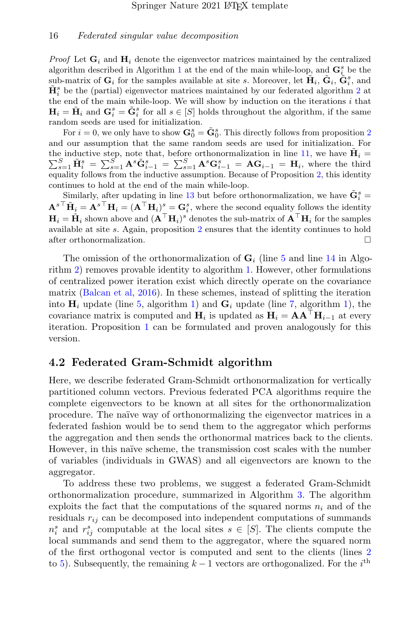*Proof* Let  $\mathbf{G}_i$  and  $\mathbf{H}_i$  denote the eigenvector matrices maintained by the centralized algorithm described in Algorithm [1](#page-10-1) at the end of the main while-loop, and  $\mathbf{G}_{i}^{s}$  be the sub-matrix of  $\mathbf{G}_i$  for the samples available at site s. Moreover, let  $\tilde{\mathbf{H}}_i$ ,  $\tilde{\mathbf{G}}_i$ ,  $\tilde{\mathbf{G}}_i^s$ , and  $\tilde{\mathbf{H}}_{i}^{s}$  be the (partial) eigenvector matrices maintained by our federated algorithm [2](#page-14-0) at the end of the main while-loop. We will show by induction on the iterations  $i$  that  $H_i = \tilde{H}_i$  and  $G_i^s = \tilde{G}_i^s$  for all  $s \in [S]$  holds throughout the algorithm, if the same random seeds are used for initialization.

For  $i = 0$ , we only have to show  $\mathbf{G}_0^s = \tilde{\mathbf{G}}_0^s$ . This directly follows from proposition [2](#page-16-1) and our assumption that the same random seeds are used for initialization. For the inductive step, note that, before orthonormalization in line [11,](#page-14-4) we have  $\tilde{\mathbf{H}}_i =$  $\sum_{s=1}^S \tilde{\mathbf{H}}_i^s = \sum_{s=1}^S \mathbf{A}^s \tilde{\mathbf{G}}_{i-1}^s = \sum_{s=1}^S \mathbf{A}^s \mathbf{G}_{i-1}^s = \mathbf{A} \mathbf{G}_{i-1} = \mathbf{H}_i$ , where the third equality follows from the inductive assumption. Because of Proposition [2,](#page-16-1) this identity continues to hold at the end of the main while-loop.

Similarly, after updating in line [13](#page-14-5) but before orthonormalization, we have  $\tilde{\mathbf{G}}_i^s =$  ${\bf A}^{s\top}\tilde{{\bf H}}_i={\bf A}^{s\top}{\bf H}_i=({\bf A}^{\top}{\bf H}_i)_{\top}^s={\bf G}_i^s$ , where the second equality follows the identity  $H_i = \tilde{H}_i$  shown above and  $(A^{\top}H_i)^s$  denotes the sub-matrix of  $A^{\top}H_i$  for the samples available at site s. Again, proposition [2](#page-16-1) ensures that the identity continues to hold after orthonormalization.

The omission of the orthonormalization of  $\mathbf{G}_i$  (line [5](#page-14-2) and line [14](#page-14-6) in Algorithm [2\)](#page-14-0) removes provable identity to algorithm [1.](#page-10-1) However, other formulations of centralized power iteration exist which directly operate on the covariance matrix [\(Balcan et al,](#page-32-4) [2016\)](#page-32-4). In these schemes, instead of splitting the iteration into  $\mathbf{H}_i$  update (line [5,](#page-10-4) algorithm [1\)](#page-10-1) and  $\mathbf{G}_i$  update (line [7,](#page-10-7) algorithm 1), the covariance matrix is computed and  $H_i$  is updated as  $H_i = AA^\top H_{i-1}$  at every iteration. Proposition [1](#page-14-9) can be formulated and proven analogously for this version.

#### <span id="page-15-0"></span>4.2 Federated Gram-Schmidt algorithm

Here, we describe federated Gram-Schmidt orthonormalization for vertically partitioned column vectors. Previous federated PCA algorithms require the complete eigenvectors to be known at all sites for the orthonormalization procedure. The na¨ıve way of orthonormalizing the eigenvector matrices in a federated fashion would be to send them to the aggregator which performs the aggregation and then sends the orthonormal matrices back to the clients. However, in this na¨ıve scheme, the transmission cost scales with the number of variables (individuals in GWAS) and all eigenvectors are known to the aggregator.

To address these two problems, we suggest a federated Gram-Schmidt orthonormalization procedure, summarized in Algorithm [3.](#page-16-0) The algorithm exploits the fact that the computations of the squared norms  $n_i$  and of the residuals  $r_{ij}$  can be decomposed into independent computations of summands  $n_i^s$  and  $r_{ij}^s$  computable at the local sites  $s \in [S]$ . The clients compute the local summands and send them to the aggregator, where the squared norm of the first orthogonal vector is computed and sent to the clients (lines [2](#page-16-2) to [5\)](#page-16-3). Subsequently, the remaining  $k-1$  vectors are orthogonalized. For the  $i<sup>th</sup>$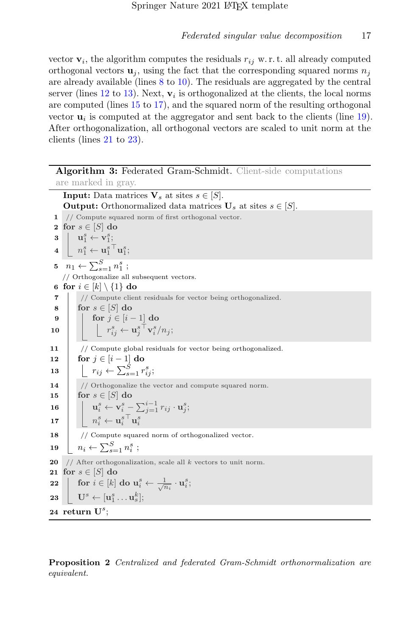vector  $\mathbf{v}_i$ , the algorithm computes the residuals  $r_{ij}$  w.r.t. all already computed orthogonal vectors  $\mathbf{u}_i$ , using the fact that the corresponding squared norms  $n_i$ are already available (lines [8](#page-16-4) to [10\)](#page-16-5). The residuals are aggregated by the central server (lines  $12$  to  $13$ ). Next,  $\mathbf{v}_i$  is orthogonalized at the clients, the local norms are computed (lines [15](#page-16-8) to [17\)](#page-16-9), and the squared norm of the resulting orthogonal vector  $\mathbf{u}_i$  is computed at the aggregator and sent back to the clients (line [19\)](#page-16-10). After orthogonalization, all orthogonal vectors are scaled to unit norm at the clients (lines [21](#page-16-11) to [23\)](#page-16-12).

<span id="page-16-6"></span><span id="page-16-5"></span><span id="page-16-4"></span><span id="page-16-3"></span><span id="page-16-2"></span><span id="page-16-0"></span>Algorithm 3: Federated Gram-Schmidt. Client-side computations are marked in gray. **Input:** Data matrices  $V_s$  at sites  $s \in [S]$ . **Output:** Orthonormalized data matrices  $\mathbf{U}_s$  at sites  $s \in [S]$ . 1 // Compute squared norm of first orthogonal vector. 2 for  $s \in [S]$  do  $\mathbf{3} \parallel \mathbf{u}^s_1 \leftarrow \mathbf{v}^s_1;$  ${\bf 4} \ \ \bigsqcup \ n_1^s \leftarrow {\bf u}_1^s{}^\top {\bf u}_1^s;$  $5 \quad n_1 \leftarrow \sum_{s=1}^{S} n_1^s ;$ // Orthogonalize all subsequent vectors. 6 for  $i \in [k] \setminus \{1\}$  do 7 // Compute client residuals for vector being orthogonalized. 8 for  $s \in [S]$  do 9 | for  $j \in [i-1]$  do  $\mathbf{10} \quad | \quad \bigsqcup \quad r^{s}_{ij} \leftarrow \mathbf{u}^{s\, \top}_{j} \mathbf{v}^{s}_{i} / n_{j};$ 11 // Compute global residuals for vector being orthogonalized. 12  $\vert$  for  $j \in [i-1]$  do 13  $\left| \left| \right| \right| r_{ij} \leftarrow \sum_{s=1}^{S} r_{ij}^{s};$ 14 // Orthogonalize the vector and compute squared norm. 15 for  $s \in [S]$  do  $\mathbf{u}^s_i \leftarrow \mathbf{v}^s_i - \sum_{j=1}^{i-1} r_{ij} \cdot \mathbf{u}^s_j;$ 17  $\begin{array}{|c|c|} \hline \quad & n_i^s \leftarrow \textbf{u}_i^{s\top} \textbf{u}_i^s \hline \end{array}$ 18 // Compute squared norm of orthogonalized vector. 19  $\left\lfloor n_i \leftarrow \sum_{s=1}^S n_i^s \right\rceil$ 20  $\frac{1}{4}$  // After orthogonalization, scale all k vectors to unit norm. 21 for  $s \in [S]$  do  $\begin{array}{|l|} \textbf{22} & \textbf{for } i \in [k] \textbf{ do } \textbf{u}^s_i \leftarrow \frac{1}{\sqrt{n_i}} \cdot \textbf{u}^s_i; \end{array}$  $\mathbf{23}\ \ \ \bigcup\ \ \mathbf{U}^s\leftarrow[\mathbf{u}_1^s\dots\mathbf{u}_s^k];$  $24$  return  $\mathbf{U}^{s}$ ;

<span id="page-16-12"></span><span id="page-16-11"></span><span id="page-16-10"></span><span id="page-16-9"></span><span id="page-16-8"></span><span id="page-16-7"></span><span id="page-16-1"></span>Proposition 2 Centralized and federated Gram-Schmidt orthonormalization are equivalent.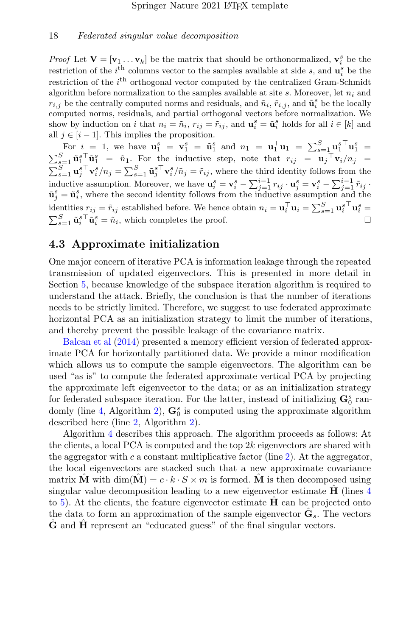*Proof* Let  $\mathbf{V} = [\mathbf{v}_1 \dots \mathbf{v}_k]$  be the matrix that should be orthonormalized,  $\mathbf{v}_i^s$  be the restriction of the  $i^{\text{th}}$  columns vector to the samples available at side s, and  $\mathbf{u}_i^s$  be the restriction of the  $i<sup>th</sup>$  orthogonal vector computed by the centralized Gram-Schmidt algorithm before normalization to the samples available at site s. Moreover, let  $n_i$  and  $r_{i,j}$  be the centrally computed norms and residuals, and  $\tilde{n}_i$ ,  $\tilde{r}_{i,j}$ , and  $\tilde{\mathbf{u}}_i^s$  be the locally computed norms, residuals, and partial orthogonal vectors before normalization. We show by induction on i that  $n_i = \tilde{n}_i$ ,  $r_{ij} = \tilde{r}_{ij}$ , and  $\mathbf{u}_i^s = \tilde{\mathbf{u}}_i^s$  holds for all  $i \in [k]$  and all  $j \in [i-1]$ . This implies the proposition.

For  $i = 1$ , we have  $\mathbf{u}_1^s = \mathbf{v}_1^s = \tilde{\mathbf{u}}_1^s$  and  $n_1 = \mathbf{u}_1^{\top} \mathbf{u}_1 = \sum_{s=1}^S {\mathbf{u}_1^s}^{\top} \mathbf{u}_1^s =$  $\sum_{s=1}^{S} \tilde{\mathbf{u}}_1^{s\top} \tilde{\mathbf{u}}_1^{s} = \tilde{n}_1$ . For the inductive step, note that  $r_{ij} = \mathbf{u}_j \top \mathbf{v}_i/n_j =$  $\sum_{s=1}^{S} \mathbf{u}_j^s \mathbf{v}_i^s / n_j = \sum_{s=1}^{S} \tilde{\mathbf{u}}_j^s \mathbf{v}_i^s / \tilde{n}_j = \tilde{r}_{ij}$ , where the third identity follows from the inductive assumption. Moreover, we have  $\mathbf{u}_i^s = \mathbf{v}_i^s - \sum_{j=1}^{i-1} r_{ij} \cdot \mathbf{u}_j^s = \mathbf{v}_i^s - \sum_{j=1}^{i-1} \tilde{r}_{ij}$ .  $\tilde{\mathbf{u}}_j^s = \tilde{\mathbf{u}}_i^s$ , where the second identity follows from the inductive assumption and the identities  $r_{ij} = \tilde{r}_{ij}$  established before. We hence obtain  $n_i = \mathbf{u}_i^{\top} \mathbf{u}_i = \sum_{s=1}^{S} \mathbf{u}_i^{s \top} \mathbf{u}_i^{s} =$  $\sum_{s=1}^{S} \tilde{\mathbf{u}}_i^s \tilde{\mathbf{u}}_i^s = \tilde{n}_i$ , which completes the proof.

#### <span id="page-17-0"></span>4.3 Approximate initialization

One major concern of iterative PCA is information leakage through the repeated transmission of updated eigenvectors. This is presented in more detail in Section [5,](#page-22-0) because knowledge of the subspace iteration algorithm is required to understand the attack. Briefly, the conclusion is that the number of iterations needs to be strictly limited. Therefore, we suggest to use federated approximate horizontal PCA as an initialization strategy to limit the number of iterations, and thereby prevent the possible leakage of the covariance matrix.

[Balcan et al](#page-32-2) [\(2014\)](#page-32-2) presented a memory efficient version of federated approximate PCA for horizontally partitioned data. We provide a minor modification which allows us to compute the sample eigenvectors. The algorithm can be used "as is" to compute the federated approximate vertical PCA by projecting the approximate left eigenvector to the data; or as an initialization strategy for federated subspace iteration. For the latter, instead of initializing  $\mathbf{G}_0^s$  ran-domly (line [4,](#page-14-1) Algorithm [2\)](#page-14-0),  $\mathbf{G}_0^s$  is computed using the approximate algorithm described here (line [2,](#page-14-10) Algorithm [2\)](#page-14-0).

Algorithm [4](#page-18-1) describes this approach. The algorithm proceeds as follows: At the clients, a local PCA is computed and the top  $2k$  eigenvectors are shared with the aggregator with c a constant multiplicative factor (line [2\)](#page-18-2). At the aggregator, the local eigenvectors are stacked such that a new approximate covariance matrix **M** with dim( $\mathbf{M}$ ) =  $c \cdot k \cdot S \times m$  is formed. **M** is then decomposed using singular value decomposition leading to a new eigenvector estimate  $\bf{H}$  (lines [4](#page-18-3)) to [5\)](#page-18-4). At the clients, the feature eigenvector estimate  $\bf{H}$  can be projected onto the data to form an approximation of the sample eigenvector  $\hat{\mathbf{G}}_s$ . The vectors G and H represent an "educated guess" of the final singular vectors.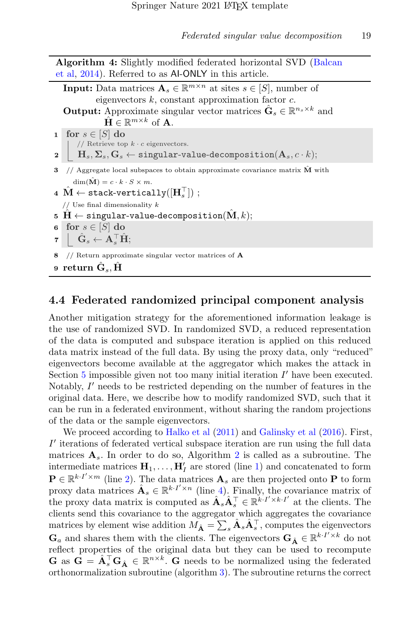<span id="page-18-2"></span><span id="page-18-1"></span>

| <b>Algorithm 4:</b> Slightly modified federated horizontal SVD (Balcan |                                                                                                                                                                                                                             |  |  |  |  |
|------------------------------------------------------------------------|-----------------------------------------------------------------------------------------------------------------------------------------------------------------------------------------------------------------------------|--|--|--|--|
|                                                                        | et al, 2014). Referred to as Al-ONLY in this article.                                                                                                                                                                       |  |  |  |  |
|                                                                        | <b>Input:</b> Data matrices $A_s \in \mathbb{R}^{m \times n}$ at sites $s \in [S]$ , number of                                                                                                                              |  |  |  |  |
|                                                                        | eigenvectors $k$ , constant approximation factor $c$ .                                                                                                                                                                      |  |  |  |  |
|                                                                        | <b>Output:</b> Approximate singular vector matrices $\hat{\mathbf{G}}_s \in \mathbb{R}^{n_s \times k}$ and                                                                                                                  |  |  |  |  |
|                                                                        | $\mathbf{\hat{H}} \in \mathbb{R}^{m \times k}$ of <b>A</b> .                                                                                                                                                                |  |  |  |  |
|                                                                        | <b>1</b> for $s \in [S]$ do                                                                                                                                                                                                 |  |  |  |  |
|                                                                        | $\begin{array}{c c} & // \; \text{Reference top}\; k\cdot c \;\text{eigenvectors.}\\ & \mathbf{H}_s, \mathbf{\Sigma}_s, \mathbf{G}_s \leftarrow \texttt{singular-value-decomposition}(\mathbf{A}_s, c\cdot k); \end{array}$ |  |  |  |  |
|                                                                        |                                                                                                                                                                                                                             |  |  |  |  |
|                                                                        | 3 $//$ Aggregate local subspaces to obtain approximate covariance matrix $\dot{M}$ with                                                                                                                                     |  |  |  |  |
|                                                                        | $\dim(\hat{\mathbf{M}}) = c \cdot k \cdot S \times m.$                                                                                                                                                                      |  |  |  |  |
|                                                                        | 4 $\hat{\mathbf{M}} \leftarrow$ stack-vertically $( \mathbf{H}_{s}^{\top} )$ ;                                                                                                                                              |  |  |  |  |
|                                                                        | // Use final dimensionality $k$                                                                                                                                                                                             |  |  |  |  |
|                                                                        | 5 H $\leftarrow$ singular-value-decomposition( $\mathbf{\hat{M}}, k$ );                                                                                                                                                     |  |  |  |  |
|                                                                        | 6 for $s \in [S]$ do                                                                                                                                                                                                        |  |  |  |  |
|                                                                        | $\mathbf{z} \parallel \hat{\mathbf{G}}_s \leftarrow \mathbf{A}_s^{\top} \hat{\mathbf{H}};$                                                                                                                                  |  |  |  |  |
| 8                                                                      | // Return approximate singular vector matrices of $\bf{A}$                                                                                                                                                                  |  |  |  |  |
|                                                                        | 9 return $\hat{\mathbf{G}}_s$ , $\hat{\mathbf{H}}$                                                                                                                                                                          |  |  |  |  |

### <span id="page-18-4"></span><span id="page-18-3"></span><span id="page-18-0"></span>4.4 Federated randomized principal component analysis

Another mitigation strategy for the aforementioned information leakage is the use of randomized SVD. In randomized SVD, a reduced representation of the data is computed and subspace iteration is applied on this reduced data matrix instead of the full data. By using the proxy data, only "reduced" eigenvectors become available at the aggregator which makes the attack in Section  $5$  impossible given not too many initial iteration  $I'$  have been executed. Notably,  $I'$  needs to be restricted depending on the number of features in the original data. Here, we describe how to modify randomized SVD, such that it can be run in a federated environment, without sharing the random projections of the data or the sample eigenvectors.

We proceed according to [Halko et al](#page-33-3)  $(2011)$  and [Galinsky et al](#page-32-1)  $(2016)$ . First,  $I'$  iterations of federated vertical subspace iteration are run using the full data matrices  $A_s$ . In order to do so, Algorithm [2](#page-14-0) is called as a subroutine. The intermediate matrices  $\mathbf{H}_1, \ldots, \mathbf{H}_I'$  are stored (line [1\)](#page-19-1) and concatenated to form  $\mathbf{P} \in \mathbb{R}^{k \cdot I' \times m}$  (line [2\)](#page-19-2). The data matrices  $\mathbf{A}_s$  are then projected onto P to form proxy data matrices  $\hat{\mathbf{A}}_s \in \mathbb{R}^{k \cdot I' \times n}$  (line [4\)](#page-19-3). Finally, the covariance matrix of the proxy data matrix is computed as  $\hat{\mathbf{A}}_s \hat{\mathbf{A}}_s^{\top} \in \mathbb{R}^{k \cdot I' \times k \cdot I'}$  at the clients. The clients send this covariance to the aggregator which aggregates the covariance matrices by element wise addition  $M_{\hat{A}} = \sum_s \hat{A}_s \hat{A}_s^{\top}$ , computes the eigenvectors  $\mathbf{G}_a$  and shares them with the clients. The eigenvectors  $\mathbf{G}_{\hat{\mathbf{A}}} \in \mathbb{R}^{k \cdot I' \times k}$  do not reflect properties of the original data but they can be used to recompute  $\mathbf{G}$  as  $\mathbf{G} = \hat{\mathbf{A}}_s^{\top} \mathbf{G}_{\hat{\mathbf{A}}} \in \mathbb{R}^{n \times k}$ .  $\mathbf{G}$  needs to be normalized using the federated orthonormalization subroutine (algorithm [3\)](#page-16-0). The subroutine returns the correct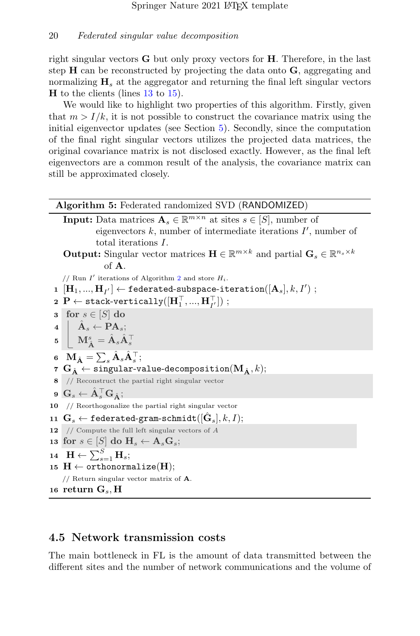right singular vectors  $G$  but only proxy vectors for  $H$ . Therefore, in the last step H can be reconstructed by projecting the data onto G, aggregating and normalizing  $H_s$  at the aggregator and returning the final left singular vectors  $H$  to the clients (lines [13](#page-19-4) to [15\)](#page-19-5).

We would like to highlight two properties of this algorithm. Firstly, given that  $m > I/k$ , it is not possible to construct the covariance matrix using the initial eigenvector updates (see Section [5\)](#page-22-0). Secondly, since the computation of the final right singular vectors utilizes the projected data matrices, the original covariance matrix is not disclosed exactly. However, as the final left eigenvectors are a common result of the analysis, the covariance matrix can still be approximated closely.

#### Algorithm 5: Federated randomized SVD (RANDOMIZED)

<span id="page-19-6"></span><span id="page-19-3"></span><span id="page-19-2"></span><span id="page-19-1"></span>

|    | <b>Input:</b> Data matrices $A_s \in \mathbb{R}^{m \times n}$ at sites $s \in [S]$ , number of                                                                                                   |
|----|--------------------------------------------------------------------------------------------------------------------------------------------------------------------------------------------------|
|    | eigenvectors $k$ , number of intermediate iterations $I'$ , number of                                                                                                                            |
|    | total iterations I.                                                                                                                                                                              |
|    | <b>Output:</b> Singular vector matrices $\mathbf{H} \in \mathbb{R}^{m \times k}$ and partial $\mathbf{G}_s \in \mathbb{R}^{n_s \times k}$                                                        |
|    | of $A$ .                                                                                                                                                                                         |
|    | // Run I' iterations of Algorithm 2 and store $H_i$ .                                                                                                                                            |
|    | $\mathbf{H} = [\mathbf{H}_1, , \mathbf{H}_{I'}] \leftarrow \texttt{federated-subspace-iteration}([\mathbf{A}_s], k, I')$ ;                                                                       |
|    | 2 P $\leftarrow$ stack-vertically $([\mathbf{H}_1^\top, , \mathbf{H}_{I^\prime}^\top])$ ;                                                                                                        |
|    | <b>3</b> for $s \in [S]$ do                                                                                                                                                                      |
|    |                                                                                                                                                                                                  |
|    | $\begin{array}{c c} \mathbf{4} & \hat{\mathbf{A}}_s \leftarrow \mathbf{P}\mathbf{A}_s; \ \mathbf{5} & \mathbf{M}_{\hat{\mathbf{A}}}^s = \hat{\mathbf{A}}_s \hat{\mathbf{A}}_s^\top. \end{array}$ |
|    | 6 $\mathbf{M}_{\hat{\mathbf{A}}} = \sum_s \hat{\mathbf{A}}_s \hat{\mathbf{A}}_s^{\top};$                                                                                                         |
|    | 7 $\mathbf{G}_{\hat{\mathbf{A}}} \leftarrow$ singular-value-decomposition( $\mathbf{M}_{\hat{\mathbf{A}}}, k$ );                                                                                 |
|    | 8 // Reconstruct the partial right singular vector                                                                                                                                               |
|    | 9 $\mathbf{G}_s \leftarrow \hat{\mathbf{A}}_s^{\top} \mathbf{G}_{\hat{\Lambda}};$                                                                                                                |
|    | $10$ // Reorthogonalize the partial right singular vector                                                                                                                                        |
|    | 11 $\mathbf{G}_s \leftarrow \texttt{federal-gram-schmidt}([\hat{\mathbf{G}}_s], k, I);$                                                                                                          |
| 12 | // Compute the full left singular vectors of $A$                                                                                                                                                 |
|    | $\texttt{is} \ \ \texttt{for} \ s \in [S] \ \texttt{do} \ \textbf{H}_s \leftarrow \textbf{A}_s \textbf{G}_s;$                                                                                    |
|    | 14 $\mathbf{H} \leftarrow \sum_{s=1}^{S} \mathbf{H}_s;$                                                                                                                                          |
|    | 15 $\textbf{H} \leftarrow \text{orthonormalize}(\textbf{H});$                                                                                                                                    |
|    | // Return singular vector matrix of $\bf{A}$ .                                                                                                                                                   |
|    | 16 return $\mathbf{G}_{s}, \mathbf{H}$                                                                                                                                                           |

#### <span id="page-19-5"></span><span id="page-19-4"></span><span id="page-19-0"></span>4.5 Network transmission costs

The main bottleneck in FL is the amount of data transmitted between the different sites and the number of network communications and the volume of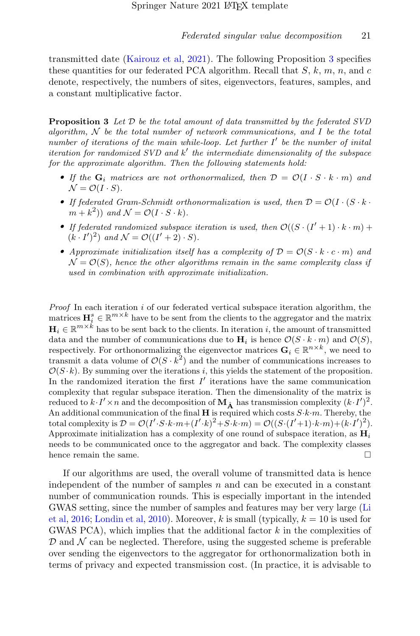transmitted date [\(Kairouz et al,](#page-33-0) [2021\)](#page-33-0). The following Proposition [3](#page-20-0) specifies these quantities for our federated PCA algorithm. Recall that  $S, k, m, n$ , and c denote, respectively, the numbers of sites, eigenvectors, features, samples, and a constant multiplicative factor.

<span id="page-20-0"></span>**Proposition 3** Let  $\mathcal{D}$  be the total amount of data transmitted by the federated SVD algorithm,  $N$  be the total number of network communications, and  $I$  be the total number of iterations of the main while-loop. Let further  $I'$  be the number of inital iteration for randomized  $SVD$  and  $k'$  the intermediate dimensionality of the subspace for the approximate algorithm. Then the following statements hold:

- If the  $G_i$  matrices are not orthonormalized, then  $\mathcal{D} = \mathcal{O}(I \cdot S \cdot k \cdot m)$  and  $\mathcal{N} = \mathcal{O}(I \cdot S).$
- If federated Gram-Schmidt orthonormalization is used, then  $\mathcal{D} = \mathcal{O}(I \cdot (S \cdot k \cdot$  $(m+k^2)$  and  $\mathcal{N} = \mathcal{O}(I \cdot S \cdot k)$ .
- If federated randomized subspace iteration is used, then  $\mathcal{O}((S \cdot (I' + 1) \cdot k \cdot m) +$  $(k \cdot I')^2$  and  $\mathcal{N} = \mathcal{O}((I'+2) \cdot S)$ .
- Approximate initialization itself has a complexity of  $\mathcal{D} = \mathcal{O}(S \cdot k \cdot c \cdot m)$  and  $\mathcal{N} = \mathcal{O}(S)$ , hence the other algorithms remain in the same complexity class if used in combination with approximate initialization.

**Proof** In each iteration  $i$  of our federated vertical subspace iteration algorithm, the matrices  $\mathbf{H}_{i}^{s} \in \mathbb{R}^{m \times k}$  have to be sent from the clients to the aggregator and the matrix  $\mathbf{H}_i \in \mathbb{R}^{m \times k}$  has to be sent back to the clients. In iteration i, the amount of transmitted data and the number of communications due to  $H_i$  is hence  $\mathcal{O}(S \cdot k \cdot m)$  and  $\mathcal{O}(S)$ , respectively. For orthonormalizing the eigenvector matrices  $\mathbf{G}_i \in \mathbb{R}^{n \times k}$ , we need to transmit a data volume of  $\mathcal{O}(S \cdot k^2)$  and the number of communications increases to  $\mathcal{O}(S \cdot k)$ . By summing over the iterations i, this yields the statement of the proposition. In the randomized iteration the first  $I'$  iterations have the same communication complexity that regular subspace iteration. Then the dimensionality of the matrix is reduced to  $k \cdot I' \times n$  and the decomposition of  $M_{\hat{A}}$  has transmission complexity  $(k \cdot I')^2$ . An additional communication of the final  $H$  is required which costs  $S \cdot k \cdot m$ . Thereby, the total complexity is  $\mathcal{D} = \mathcal{O}(I' \cdot S \cdot k \cdot m + (I' \cdot k)^2 + S \cdot k \cdot m) = \mathcal{O}((S \cdot (I' + 1) \cdot k \cdot m) + (k \cdot I')^2)$ . Approximate initialization has a complexity of one round of subspace iteration, as  $\mathbf{H}_i$ needs to be communicated once to the aggregator and back. The complexity classes hence remain the same.

If our algorithms are used, the overall volume of transmitted data is hence independent of the number of samples  $n$  and can be executed in a constant number of communication rounds. This is especially important in the intended GWAS setting, since the number of samples and features may ber very large [\(Li](#page-34-5) [et al,](#page-34-5) [2016;](#page-34-5) [Londin et al,](#page-34-8) [2010\)](#page-34-8). Moreover, k is small (typically,  $k = 10$  is used for GWAS PCA), which implies that the additional factor  $k$  in the complexities of  $\mathcal D$  and  $\mathcal N$  can be neglected. Therefore, using the suggested scheme is preferable over sending the eigenvectors to the aggregator for orthonormalization both in terms of privacy and expected transmission cost. (In practice, it is advisable to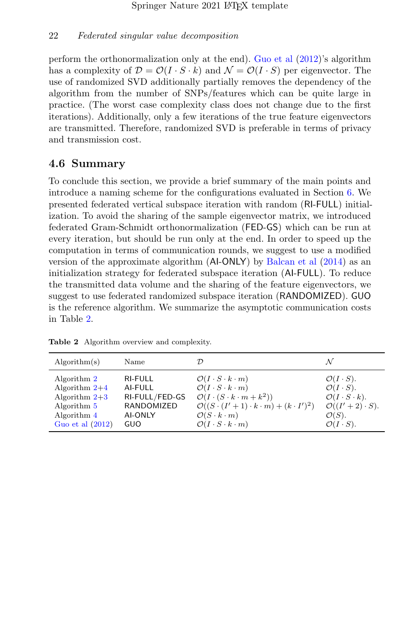perform the orthonormalization only at the end). [Guo et al](#page-33-2) [\(2012\)](#page-33-2)'s algorithm has a complexity of  $\mathcal{D} = \mathcal{O}(I \cdot S \cdot k)$  and  $\mathcal{N} = \mathcal{O}(I \cdot S)$  per eigenvector. The use of randomized SVD additionally partially removes the dependency of the algorithm from the number of SNPs/features which can be quite large in practice. (The worst case complexity class does not change due to the first iterations). Additionally, only a few iterations of the true feature eigenvectors are transmitted. Therefore, randomized SVD is preferable in terms of privacy and transmission cost.

### <span id="page-21-0"></span>4.6 Summary

To conclude this section, we provide a brief summary of the main points and introduce a naming scheme for the configurations evaluated in Section [6.](#page-25-0) We presented federated vertical subspace iteration with random (RI-FULL) initialization. To avoid the sharing of the sample eigenvector matrix, we introduced federated Gram-Schmidt orthonormalization (FED-GS) which can be run at every iteration, but should be run only at the end. In order to speed up the computation in terms of communication rounds, we suggest to use a modified version of the approximate algorithm (AI-ONLY) by [Balcan et al](#page-32-2) [\(2014\)](#page-32-2) as an initialization strategy for federated subspace iteration (AI-FULL). To reduce the transmitted data volume and the sharing of the feature eigenvectors, we suggest to use federated randomized subspace iteration (RANDOMIZED). GUO is the reference algorithm. We summarize the asymptotic communication costs in Table [2.](#page-21-1)

| Algorithm(s)       | Name           |                                                            |                                   |
|--------------------|----------------|------------------------------------------------------------|-----------------------------------|
| Algorithm 2        | <b>RI-FULL</b> | $\mathcal{O}(I \cdot S \cdot k \cdot m)$                   | $\mathcal{O}(I \cdot S)$ .        |
| Algorithm $2+4$    | AI-FULL        | $\mathcal{O}(I \cdot S \cdot k \cdot m)$                   | $\mathcal{O}(I \cdot S)$ .        |
| Algorithm $2+3$    | RI-FULL/FED-GS | $\mathcal{O}(I\cdot (S\cdot k\cdot m+k^2))$                | $\mathcal{O}(I \cdot S \cdot k).$ |
| Algorithm $5$      | RANDOMIZED     | $\mathcal{O}((S\cdot (I'+1)\cdot k\cdot m)+(k\cdot I')^2)$ | $\mathcal{O}((I'+2)\cdot S).$     |
| Algorithm 4        | <b>AI-ONLY</b> | $\mathcal{O}(S \cdot k \cdot m)$                           | $\mathcal{O}(S)$ .                |
| Guo et al $(2012)$ | GUO            | $\mathcal{O}(I \cdot S \cdot k \cdot m)$                   | $\mathcal{O}(I \cdot S)$ .        |

<span id="page-21-1"></span>Table 2 Algorithm overview and complexity.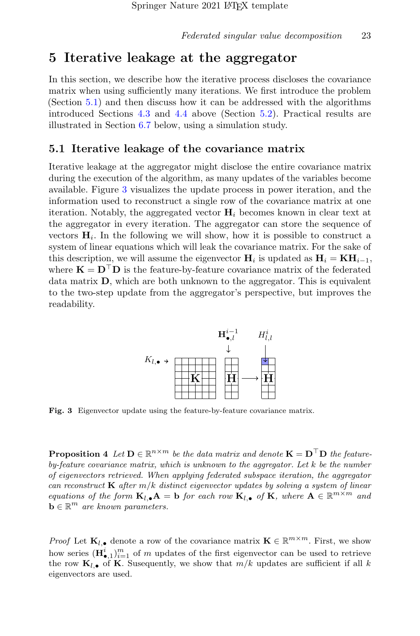## <span id="page-22-0"></span>5 Iterative leakage at the aggregator

In this section, we describe how the iterative process discloses the covariance matrix when using sufficiently many iterations. We first introduce the problem (Section [5.1\)](#page-22-1) and then discuss how it can be addressed with the algorithms introduced Sections [4.3](#page-17-0) and [4.4](#page-18-0) above (Section [5.2\)](#page-23-0). Practical results are illustrated in Section [6.7](#page-28-0) below, using a simulation study.

#### <span id="page-22-1"></span>5.1 Iterative leakage of the covariance matrix

Iterative leakage at the aggregator might disclose the entire covariance matrix during the execution of the algorithm, as many updates of the variables become available. Figure [3](#page-22-2) visualizes the update process in power iteration, and the information used to reconstruct a single row of the covariance matrix at one iteration. Notably, the aggregated vector  $H_i$  becomes known in clear text at the aggregator in every iteration. The aggregator can store the sequence of vectors  $H_i$ . In the following we will show, how it is possible to construct a system of linear equations which will leak the covariance matrix. For the sake of this description, we will assume the eigenvector  $\mathbf{H}_i$  is updated as  $\mathbf{H}_i = \mathbf{K} \mathbf{H}_{i-1}$ , where  $\mathbf{K} = \mathbf{D}^\top \mathbf{D}$  is the feature-by-feature covariance matrix of the federated data matrix D, which are both unknown to the aggregator. This is equivalent to the two-step update from the aggregator's perspective, but improves the readability.



<span id="page-22-2"></span>Fig. 3 Eigenvector update using the feature-by-feature covariance matrix.

**Proposition 4** Let  $\mathbf{D} \in \mathbb{R}^{n \times m}$  be the data matrix and denote  $\mathbf{K} = \mathbf{D}^{\top} \mathbf{D}$  the featureby-feature covariance matrix, which is unknown to the aggregator. Let k be the number of eigenvectors retrieved. When applying federated subspace iteration, the aggregator can reconstruct  $\bf{K}$  after  $m/k$  distinct eigenvector updates by solving a system of linear equations of the form  $\mathbf{K}_{l,\bullet}$   $\mathbf{A} = \mathbf{b}$  for each row  $\mathbf{K}_{l,\bullet}$  of  $\mathbf{K}$ , where  $\mathbf{A} \in \mathbb{R}^{m \times m}$  and  $\mathbf{b} \in \mathbb{R}^m$  are known parameters.

*Proof* Let  $\mathbf{K}_{l,\bullet}$  denote a row of the covariance matrix  $\mathbf{K} \in \mathbb{R}^{m \times m}$ . First, we show how series  $(\mathbf{H}_{\bullet,1}^i)_{i=1}^m$  of m updates of the first eigenvector can be used to retrieve the row  $\mathbf{K}_{l,\bullet}$  of **K**. Susequently, we show that  $m/k$  updates are sufficient if all k eigenvectors are used.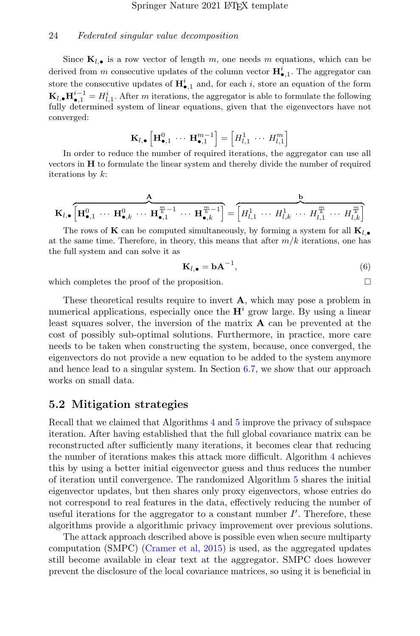Since  $K_{l,\bullet}$  is a row vector of length m, one needs m equations, which can be derived from m consecutive updates of the column vector  $\mathbf{H}_{\bullet,1}^i$ . The aggregator can store the consecutive updates of  $\mathbf{H}_{\bullet,1}^i$  and, for each i, store an equation of the form  $\mathbf{K}_{l,\bullet} \mathbf{H}_{\bullet,1}^{i-1} = H_{l,1}^i$ . After m iterations, the aggregator is able to formulate the following fully determined system of linear equations, given that the eigenvectors have not converged:

$$
\mathbf{K}_{l,\bullet}\left[\mathbf{H}_{\bullet,1}^{0}\ \cdots\ \mathbf{H}_{\bullet,1}^{m-1}\right]=\left[H_{l,1}^{1}\ \cdots\ H_{l,1}^{m}\right]
$$

In order to reduce the number of required iterations, the aggregator can use all vectors in H to formulate the linear system and thereby divide the number of required iterations by  $k$ :

$$
\mathbf{K}_{l,\bullet}\left[\mathbf{H}_{\bullet,1}^0 \ \cdots \ \mathbf{H}_{\bullet,k}^0 \ \cdots \ \mathbf{H}_{\bullet,1}^{\frac{m}{k}-1} \ \cdots \ \mathbf{H}_{\bullet,k}^{\frac{m}{k}-1}\right] = \left[H_{l,1}^1 \ \cdots \ H_{l,k}^1 \ \cdots \ H_{l,1}^{\frac{m}{k}} \ \cdots \ H_{l,1}^{\frac{m}{k}} \ \cdots \ H_{l,k}^{\frac{m}{k}}\right]
$$

The rows of **K** can be computed simultaneously, by forming a system for all  $\mathbf{K}_{l,\bullet}$ at the same time. Therefore, in theory, this means that after  $m/k$  iterations, one has the full system and can solve it as

<span id="page-23-1"></span>
$$
\mathbf{K}_{l,\bullet} = \mathbf{b} \mathbf{A}^{-1},\tag{6}
$$

which completes the proof of the proposition.

These theoretical results require to invert  $\bf{A}$ , which may pose a problem in numerical applications, especially once the  $\mathbf{H}^i$  grow large. By using a linear least squares solver, the inversion of the matrix  $A$  can be prevented at the cost of possibly sub-optimal solutions. Furthermore, in practice, more care needs to be taken when constructing the system, because, once converged, the eigenvectors do not provide a new equation to be added to the system anymore and hence lead to a singular system. In Section  $6.7$ , we show that our approach works on small data.

#### <span id="page-23-0"></span>5.2 Mitigation strategies

Recall that we claimed that Algorithms [4](#page-18-1) and [5](#page-19-6) improve the privacy of subspace iteration. After having established that the full global covariance matrix can be reconstructed after sufficiently many iterations, it becomes clear that reducing the number of iterations makes this attack more difficult. Algorithm [4](#page-18-1) achieves this by using a better initial eigenvector guess and thus reduces the number of iteration until convergence. The randomized Algorithm [5](#page-19-6) shares the initial eigenvector updates, but then shares only proxy eigenvectors, whose entries do not correspond to real features in the data, effectively reducing the number of useful iterations for the aggregator to a constant number  $I'$ . Therefore, these algorithms provide a algorithmic privacy improvement over previous solutions.

The attack approach described above is possible even when secure multiparty computation (SMPC) [\(Cramer et al,](#page-32-6) [2015\)](#page-32-6) is used, as the aggregated updates still become available in clear text at the aggregator. SMPC does however prevent the disclosure of the local covariance matrices, so using it is beneficial in

$$
\Box
$$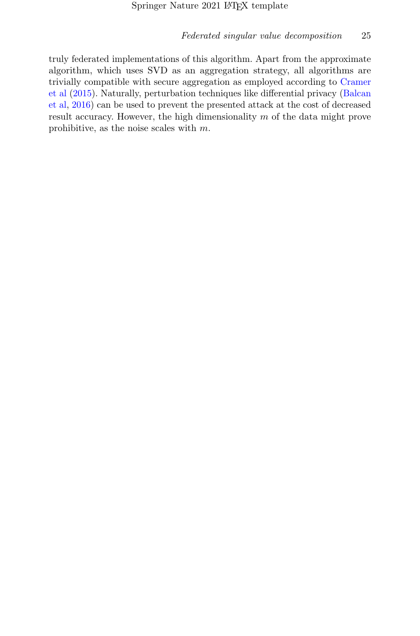truly federated implementations of this algorithm. Apart from the approximate algorithm, which uses SVD as an aggregation strategy, all algorithms are trivially compatible with secure aggregation as employed according to [Cramer](#page-32-6) [et al](#page-32-6) [\(2015\)](#page-32-6). Naturally, perturbation techniques like differential privacy [\(Balcan](#page-32-4) [et al,](#page-32-4) [2016\)](#page-32-4) can be used to prevent the presented attack at the cost of decreased result accuracy. However, the high dimensionality m of the data might prove prohibitive, as the noise scales with m.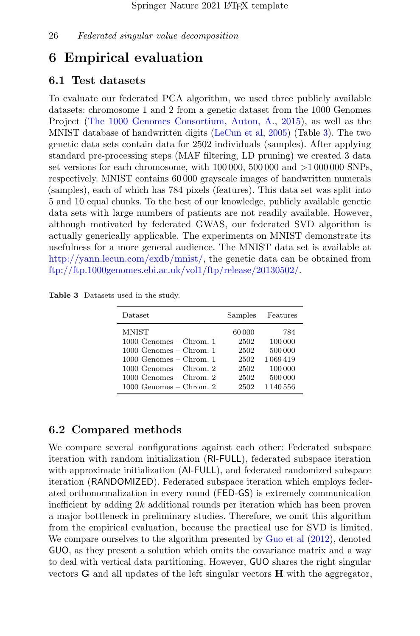## <span id="page-25-0"></span>6 Empirical evaluation

#### 6.1 Test datasets

To evaluate our federated PCA algorithm, we used three publicly available datasets: chromosome 1 and 2 from a genetic dataset from the 1000 Genomes Project [\(The 1000 Genomes Consortium, Auton, A.,](#page-35-9) [2015\)](#page-35-9), as well as the MNIST database of handwritten digits [\(LeCun et al,](#page-34-9) [2005\)](#page-34-9) (Table [3\)](#page-25-1). The two genetic data sets contain data for 2502 individuals (samples). After applying standard pre-processing steps (MAF filtering, LD pruning) we created 3 data set versions for each chromosome, with  $100000$ ,  $500000$  and  $>1000000$  SNPs, respectively. MNIST contains 60 000 grayscale images of handwritten numerals (samples), each of which has 784 pixels (features). This data set was split into 5 and 10 equal chunks. To the best of our knowledge, publicly available genetic data sets with large numbers of patients are not readily available. However, although motivated by federated GWAS, our federated SVD algorithm is actually generically applicable. The experiments on MNIST demonstrate its usefulness for a more general audience. The MNIST data set is available at [http://yann.lecun.com/exdb/mnist/,](http://yann.lecun.com/exdb/mnist/) the genetic data can be obtained from [ftp://ftp.1000genomes.ebi.ac.uk/vol1/ftp/release/20130502/.](ftp://ftp.1000genomes.ebi.ac.uk/vol1/ftp/release/20130502/)

<span id="page-25-1"></span>Table 3 Datasets used in the study.

| Dataset                   | Samples | Features      |
|---------------------------|---------|---------------|
| <b>MNIST</b>              | 60 000  | 784           |
| $1000$ Genomes – Chrom. 1 | 2502    | 100 000       |
| $1000$ Genomes – Chrom. 1 | 2502    | 500 000       |
| $1000$ Genomes – Chrom. 1 | 2502    | 1069419       |
| $1000$ Genomes – Chrom. 2 | 2502    | 100 000       |
| $1000$ Genomes – Chrom. 2 | 2502    | 500 000       |
| $1000$ Genomes – Chrom. 2 | 2502    | 1 1 4 0 5 5 6 |

### 6.2 Compared methods

We compare several configurations against each other: Federated subspace iteration with random initialization (RI-FULL), federated subspace iteration with approximate initialization (AI-FULL), and federated randomized subspace iteration (RANDOMIZED). Federated subspace iteration which employs federated orthonormalization in every round (FED-GS) is extremely communication inefficient by adding  $2k$  additional rounds per iteration which has been proven a major bottleneck in preliminary studies. Therefore, we omit this algorithm from the empirical evaluation, because the practical use for SVD is limited. We compare ourselves to the algorithm presented by [Guo et al](#page-33-2) [\(2012\)](#page-33-2), denoted GUO, as they present a solution which omits the covariance matrix and a way to deal with vertical data partitioning. However, GUO shares the right singular vectors  $\bf{G}$  and all updates of the left singular vectors  $\bf{H}$  with the aggregator,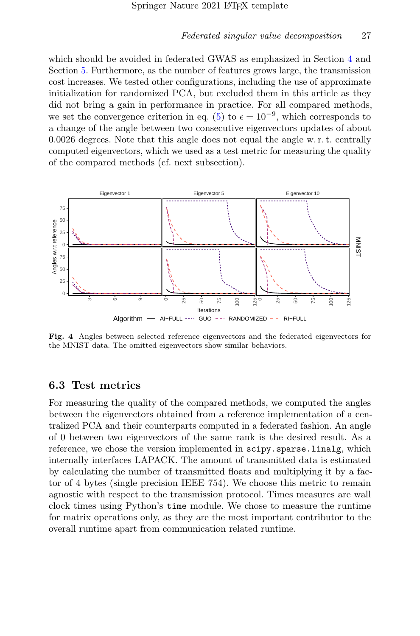which should be avoided in federated GWAS as emphasized in Section [4](#page-13-0) and Section [5.](#page-22-0) Furthermore, as the number of features grows large, the transmission cost increases. We tested other configurations, including the use of approximate initialization for randomized PCA, but excluded them in this article as they did not bring a gain in performance in practice. For all compared methods, we set the convergence criterion in eq. [\(5\)](#page-13-2) to  $\epsilon = 10^{-9}$ , which corresponds to a change of the angle between two consecutive eigenvectors updates of about 0.0026 degrees. Note that this angle does not equal the angle w. r. t. centrally computed eigenvectors, which we used as a test metric for measuring the quality of the compared methods (cf. next subsection).



<span id="page-26-0"></span>Fig. 4 Angles between selected reference eigenvectors and the federated eigenvectors for the MNIST data. The omitted eigenvectors show similar behaviors.

#### 6.3 Test metrics

For measuring the quality of the compared methods, we computed the angles between the eigenvectors obtained from a reference implementation of a centralized PCA and their counterparts computed in a federated fashion. An angle of 0 between two eigenvectors of the same rank is the desired result. As a reference, we chose the version implemented in scipy.sparse.linalg, which internally interfaces LAPACK. The amount of transmitted data is estimated by calculating the number of transmitted floats and multiplying it by a factor of 4 bytes (single precision IEEE 754). We choose this metric to remain agnostic with respect to the transmission protocol. Times measures are wall clock times using Python's time module. We chose to measure the runtime for matrix operations only, as they are the most important contributor to the overall runtime apart from communication related runtime.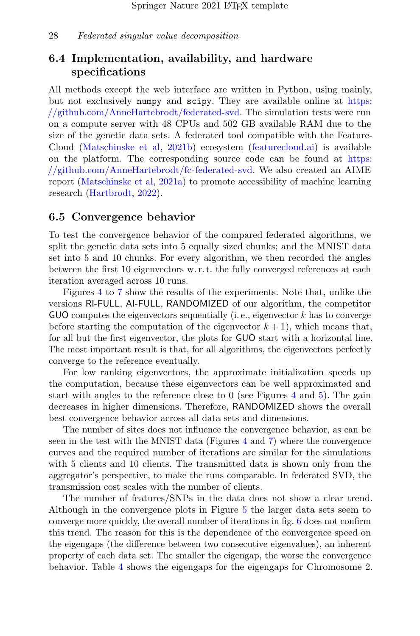## 6.4 Implementation, availability, and hardware specifications

All methods except the web interface are written in Python, using mainly, but not exclusively numpy and scipy. They are available online at [https:](https://github.com/AnneHartebrodt/federated-svd) [//github.com/AnneHartebrodt/federated-svd.](https://github.com/AnneHartebrodt/federated-svd) The simulation tests were run on a compute server with 48 CPUs and 502 GB available RAM due to the size of the genetic data sets. A federated tool compatible with the Feature-Cloud [\(Matschinske et al,](#page-34-10) [2021b\)](#page-34-10) ecosystem [\(featurecloud.ai\)](featurecloud.ai) is available on the platform. The corresponding source code can be found at [https:](https://github.com/AnneHartebrodt/fc-federated-svd) [//github.com/AnneHartebrodt/fc-federated-svd.](https://github.com/AnneHartebrodt/fc-federated-svd) We also created an AIME report [\(Matschinske et al,](#page-34-11) [2021a\)](#page-34-11) to promote accessibility of machine learning research [\(Hartbrodt,](#page-33-10) [2022\)](#page-33-10).

### 6.5 Convergence behavior

To test the convergence behavior of the compared federated algorithms, we split the genetic data sets into 5 equally sized chunks; and the MNIST data set into 5 and 10 chunks. For every algorithm, we then recorded the angles between the first 10 eigenvectors w. r. t. the fully converged references at each iteration averaged across 10 runs.

Figures [4](#page-26-0) to [7](#page-30-0) show the results of the experiments. Note that, unlike the versions RI-FULL, AI-FULL, RANDOMIZED of our algorithm, the competitor GUO computes the eigenvectors sequentially (i.e., eigenvector  $k$  has to converge before starting the computation of the eigenvector  $k + 1$ , which means that, for all but the first eigenvector, the plots for GUO start with a horizontal line. The most important result is that, for all algorithms, the eigenvectors perfectly converge to the reference eventually.

For low ranking eigenvectors, the approximate initialization speeds up the computation, because these eigenvectors can be well approximated and start with angles to the reference close to 0 (see Figures [4](#page-26-0) and [5\)](#page-29-0). The gain decreases in higher dimensions. Therefore, RANDOMIZED shows the overall best convergence behavior across all data sets and dimensions.

The number of sites does not influence the convergence behavior, as can be seen in the test with the MNIST data (Figures [4](#page-26-0) and [7\)](#page-30-0) where the convergence curves and the required number of iterations are similar for the simulations with 5 clients and 10 clients. The transmitted data is shown only from the aggregator's perspective, to make the runs comparable. In federated SVD, the transmission cost scales with the number of clients.

The number of features/SNPs in the data does not show a clear trend. Although in the convergence plots in Figure [5](#page-29-0) the larger data sets seem to converge more quickly, the overall number of iterations in fig. [6](#page-30-1) does not confirm this trend. The reason for this is the dependence of the convergence speed on the eigengaps (the difference between two consecutive eigenvalues), an inherent property of each data set. The smaller the eigengap, the worse the convergence behavior. Table [4](#page-28-1) shows the eigengaps for the eigengaps for Chromosome 2.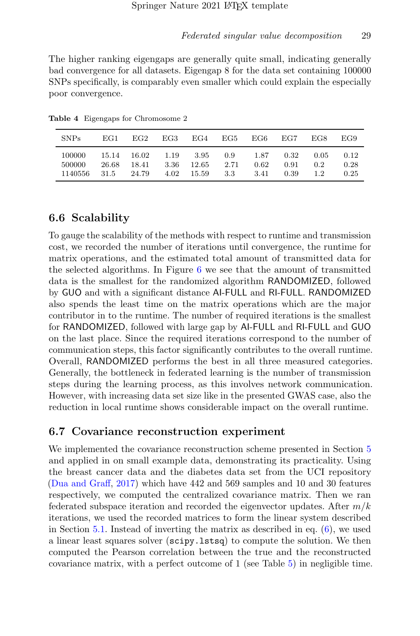The higher ranking eigengaps are generally quite small, indicating generally bad convergence for all datasets. Eigengap 8 for the data set containing 100000 SNPs specifically, is comparably even smaller which could explain the especially poor convergence.

<span id="page-28-1"></span>

| SNP <sub>s</sub>            | EG1.          | EG2                           | EG3                  | EG4                      | EG5                | EG6-                 | EG7                  | EG8                | EG9                  |
|-----------------------------|---------------|-------------------------------|----------------------|--------------------------|--------------------|----------------------|----------------------|--------------------|----------------------|
| 100000<br>500000<br>1140556 | 26.68<br>31.5 | 15.14 16.02<br>18.41<br>24.79 | 1.19<br>3.36<br>4.02 | 3.95<br>12.65<br>- 15.59 | 0.9<br>2.71<br>3.3 | 1.87<br>0.62<br>3.41 | 0.32<br>0.91<br>0.39 | 0.05<br>02<br>1.2. | 0.12<br>0.28<br>0.25 |

Table 4 Eigengaps for Chromosome 2

### 6.6 Scalability

To gauge the scalability of the methods with respect to runtime and transmission cost, we recorded the number of iterations until convergence, the runtime for matrix operations, and the estimated total amount of transmitted data for the selected algorithms. In Figure [6](#page-30-1) we see that the amount of transmitted data is the smallest for the randomized algorithm RANDOMIZED, followed by GUO and with a significant distance AI-FULL and RI-FULL. RANDOMIZED also spends the least time on the matrix operations which are the major contributor in to the runtime. The number of required iterations is the smallest for RANDOMIZED, followed with large gap by AI-FULL and RI-FULL and GUO on the last place. Since the required iterations correspond to the number of communication steps, this factor significantly contributes to the overall runtime. Overall, RANDOMIZED performs the best in all three measured categories. Generally, the bottleneck in federated learning is the number of transmission steps during the learning process, as this involves network communication. However, with increasing data set size like in the presented GWAS case, also the reduction in local runtime shows considerable impact on the overall runtime.

### <span id="page-28-0"></span>6.7 Covariance reconstruction experiment

We implemented the covariance reconstruction scheme presented in Section [5](#page-22-0) and applied in on small example data, demonstrating its practicality. Using the breast cancer data and the diabetes data set from the UCI repository [\(Dua and Graff,](#page-32-7) [2017\)](#page-32-7) which have 442 and 569 samples and 10 and 30 features respectively, we computed the centralized covariance matrix. Then we ran federated subspace iteration and recorded the eigenvector updates. After  $m/k$ iterations, we used the recorded matrices to form the linear system described in Section [5.1.](#page-22-1) Instead of inverting the matrix as described in eq. [\(6\)](#page-23-1), we used a linear least squares solver (scipy.lstsq) to compute the solution. We then computed the Pearson correlation between the true and the reconstructed covariance matrix, with a perfect outcome of 1 (see Table [5\)](#page-29-1) in negligible time.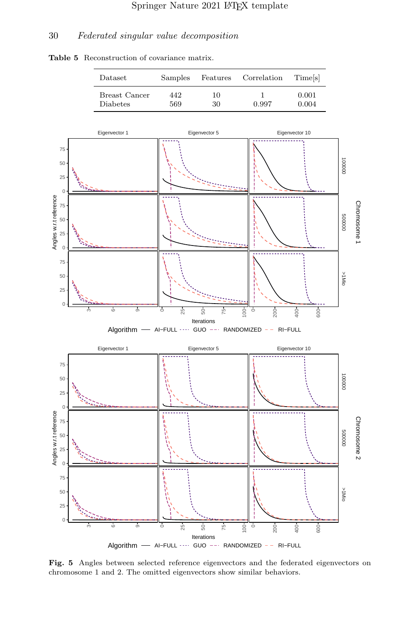

<span id="page-29-1"></span>

<span id="page-29-0"></span>Fig. 5 Angles between selected reference eigenvectors and the federated eigenvectors on chromosome 1 and 2. The omitted eigenvectors show similar behaviors.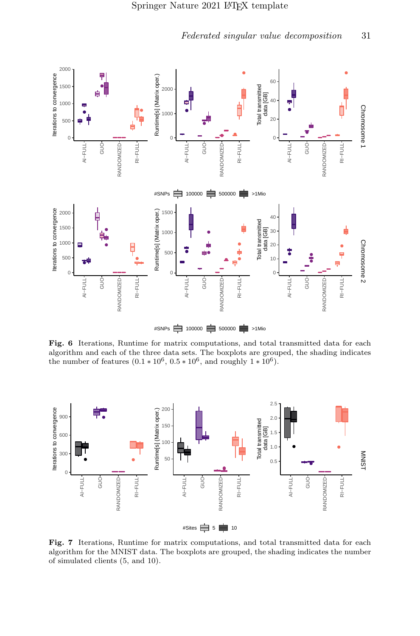

<span id="page-30-1"></span>Fig. 6 Iterations, Runtime for matrix computations, and total transmitted data for each algorithm and each of the three data sets. The boxplots are grouped, the shading indicates the number of features  $(0.1 * 10^6, 0.5 * 10^6, \text{ and roughly } 1 * 10^6)$ .



<span id="page-30-0"></span>Fig. 7 Iterations, Runtime for matrix computations, and total transmitted data for each algorithm for the MNIST data. The boxplots are grouped, the shading indicates the number of simulated clients (5, and 10).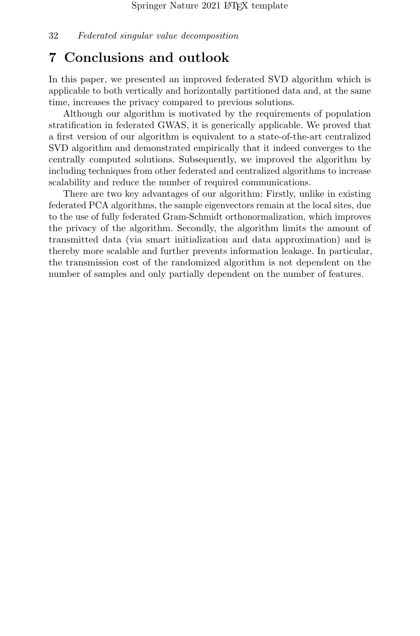## <span id="page-31-0"></span>7 Conclusions and outlook

In this paper, we presented an improved federated SVD algorithm which is applicable to both vertically and horizontally partitioned data and, at the same time, increases the privacy compared to previous solutions.

Although our algorithm is motivated by the requirements of population stratification in federated GWAS, it is generically applicable. We proved that a first version of our algorithm is equivalent to a state-of-the-art centralized SVD algorithm and demonstrated empirically that it indeed converges to the centrally computed solutions. Subsequently, we improved the algorithm by including techniques from other federated and centralized algorithms to increase scalability and reduce the number of required communications.

There are two key advantages of our algorithm: Firstly, unlike in existing federated PCA algorithms, the sample eigenvectors remain at the local sites, due to the use of fully federated Gram-Schmidt orthonormalization, which improves the privacy of the algorithm. Secondly, the algorithm limits the amount of transmitted data (via smart initialization and data approximation) and is thereby more scalable and further prevents information leakage. In particular, the transmission cost of the randomized algorithm is not dependent on the number of samples and only partially dependent on the number of features.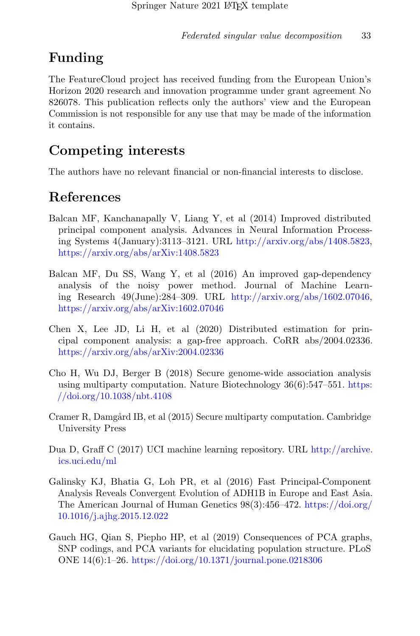## Funding

The FeatureCloud project has received funding from the European Union's Horizon 2020 research and innovation programme under grant agreement No 826078. This publication reflects only the authors' view and the European Commission is not responsible for any use that may be made of the information it contains.

## Competing interests

The authors have no relevant financial or non-financial interests to disclose.

## References

- <span id="page-32-2"></span>Balcan MF, Kanchanapally V, Liang Y, et al (2014) Improved distributed principal component analysis. Advances in Neural Information Processing Systems 4(January):3113–3121. URL [http://arxiv.org/abs/1408.5823,](http://arxiv.org/abs/1408.5823) [https://arxiv.org/abs/arXiv:1408.5823](https://arxiv.org/abs/1408.5823)
- <span id="page-32-4"></span>Balcan MF, Du SS, Wang Y, et al (2016) An improved gap-dependency analysis of the noisy power method. Journal of Machine Learning Research 49(June):284–309. URL [http://arxiv.org/abs/1602.07046,](http://arxiv.org/abs/1602.07046) [https://arxiv.org/abs/arXiv:1602.07046](https://arxiv.org/abs/1602.07046)
- <span id="page-32-5"></span>Chen X, Lee JD, Li H, et al (2020) Distributed estimation for principal component analysis: a gap-free approach. CoRR abs/2004.02336. [https://arxiv.org/abs/arXiv:2004.02336](https://arxiv.org/abs/2004.02336)
- <span id="page-32-0"></span>Cho H, Wu DJ, Berger B (2018) Secure genome-wide association analysis using multiparty computation. Nature Biotechnology 36(6):547–551. [https:](https://doi.org/10.1038/nbt.4108) [//doi.org/10.1038/nbt.4108](https://doi.org/10.1038/nbt.4108)
- <span id="page-32-6"></span>Cramer R, Damgård IB, et al (2015) Secure multiparty computation. Cambridge University Press
- <span id="page-32-7"></span>Dua D, Graff C (2017) UCI machine learning repository. URL [http://archive.](http://archive.ics.uci.edu/ml) [ics.uci.edu/ml](http://archive.ics.uci.edu/ml)
- <span id="page-32-1"></span>Galinsky KJ, Bhatia G, Loh PR, et al (2016) Fast Principal-Component Analysis Reveals Convergent Evolution of ADH1B in Europe and East Asia. The American Journal of Human Genetics 98(3):456–472. [https://doi.org/](https://doi.org/10.1016/j.ajhg.2015.12.022) [10.1016/j.ajhg.2015.12.022](https://doi.org/10.1016/j.ajhg.2015.12.022)
- <span id="page-32-3"></span>Gauch HG, Qian S, Piepho HP, et al (2019) Consequences of PCA graphs, SNP codings, and PCA variants for elucidating population structure. PLoS ONE 14(6):1–26. <https://doi.org/10.1371/journal.pone.0218306>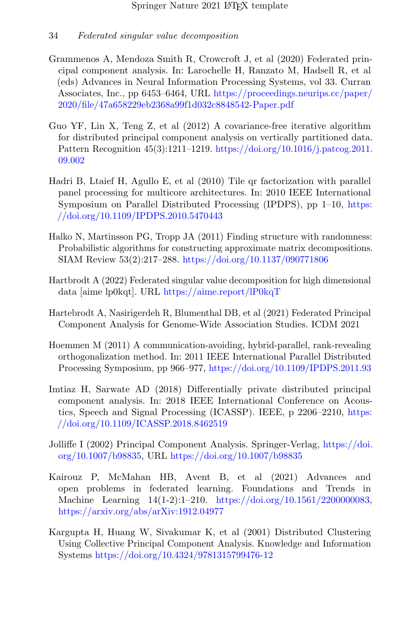- <span id="page-33-9"></span>Grammenos A, Mendoza Smith R, Crowcroft J, et al (2020) Federated principal component analysis. In: Larochelle H, Ranzato M, Hadsell R, et al (eds) Advances in Neural Information Processing Systems, vol 33. Curran Associates, Inc., pp 6453–6464, URL [https://proceedings.neurips.cc/paper/](https://proceedings.neurips.cc/paper/2020/file/47a658229eb2368a99f1d032c8848542-Paper.pdf) [2020/file/47a658229eb2368a99f1d032c8848542-Paper.pdf](https://proceedings.neurips.cc/paper/2020/file/47a658229eb2368a99f1d032c8848542-Paper.pdf)
- <span id="page-33-2"></span>Guo YF, Lin X, Teng Z, et al (2012) A covariance-free iterative algorithm for distributed principal component analysis on vertically partitioned data. Pattern Recognition 45(3):1211–1219. [https://doi.org/10.1016/j.patcog.2011.](https://doi.org/10.1016/j.patcog.2011.09.002) [09.002](https://doi.org/10.1016/j.patcog.2011.09.002)
- <span id="page-33-6"></span>Hadri B, Ltaief H, Agullo E, et al (2010) Tile qr factorization with parallel panel processing for multicore architectures. In: 2010 IEEE International Symposium on Parallel Distributed Processing (IPDPS), pp 1–10, [https:](https://doi.org/10.1109/IPDPS.2010.5470443) [//doi.org/10.1109/IPDPS.2010.5470443](https://doi.org/10.1109/IPDPS.2010.5470443)
- <span id="page-33-3"></span>Halko N, Martinsson PG, Tropp JA (2011) Finding structure with randomness: Probabilistic algorithms for constructing approximate matrix decompositions. SIAM Review 53(2):217–288. <https://doi.org/10.1137/090771806>
- <span id="page-33-10"></span>Hartbrodt A (2022) Federated singular value decomposition for high dimensional data [aime lp0kqt]. URL <https://aime.report/lP0kqT>
- <span id="page-33-4"></span>Hartebrodt A, Nasirigerdeh R, Blumenthal DB, et al (2021) Federated Principal Component Analysis for Genome-Wide Association Studies. ICDM 2021
- <span id="page-33-7"></span>Hoemmen M (2011) A communication-avoiding, hybrid-parallel, rank-revealing orthogonalization method. In: 2011 IEEE International Parallel Distributed Processing Symposium, pp 966–977, <https://doi.org/10.1109/IPDPS.2011.93>
- <span id="page-33-8"></span>Imtiaz H, Sarwate AD (2018) Differentially private distributed principal component analysis. In: 2018 IEEE International Conference on Acoustics, Speech and Signal Processing (ICASSP). IEEE, p 2206–2210, [https:](https://doi.org/10.1109/ICASSP.2018.8462519) [//doi.org/10.1109/ICASSP.2018.8462519](https://doi.org/10.1109/ICASSP.2018.8462519)
- <span id="page-33-5"></span>Jolliffe I (2002) Principal Component Analysis. Springer-Verlag, [https://doi.](https://doi.org/10.1007/b98835) [org/10.1007/b98835,](https://doi.org/10.1007/b98835) URL <https://doi.org/10.1007/b98835>
- <span id="page-33-0"></span>Kairouz P, McMahan HB, Avent B, et al (2021) Advances and open problems in federated learning. Foundations and Trends in Machine Learning 14(1-2):1–210. [https://doi.org/10.1561/2200000083,](https://doi.org/10.1561/2200000083) [https://arxiv.org/abs/arXiv:1912.04977](https://arxiv.org/abs/1912.04977)
- <span id="page-33-1"></span>Kargupta H, Huang W, Sivakumar K, et al (2001) Distributed Clustering Using Collective Principal Component Analysis. Knowledge and Information Systems <https://doi.org/10.4324/9781315799476-12>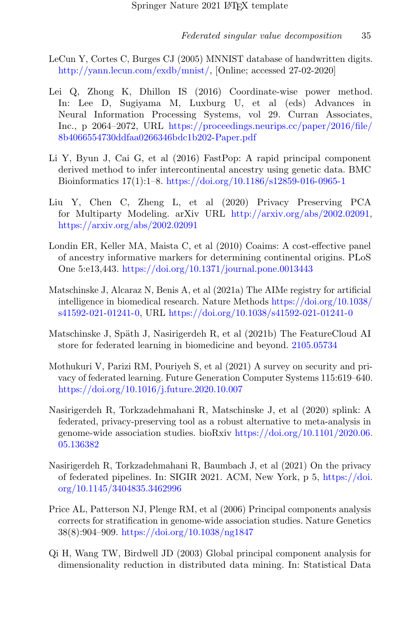- <span id="page-34-9"></span>LeCun Y, Cortes C, Burges CJ (2005) MNNIST database of handwritten digits. [http://yann.lecun.com/exdb/mnist/,](http://yann.lecun.com/exdb/mnist/) [Online; accessed 27-02-2020]
- <span id="page-34-7"></span>Lei Q, Zhong K, Dhillon IS (2016) Coordinate-wise power method. In: Lee D, Sugiyama M, Luxburg U, et al (eds) Advances in Neural Information Processing Systems, vol 29. Curran Associates, Inc., p 2064–2072, URL [https://proceedings.neurips.cc/paper/2016/file/](https://proceedings.neurips.cc/paper/2016/file/8b4066554730ddfaa0266346bdc1b202-Paper.pdf) [8b4066554730ddfaa0266346bdc1b202-Paper.pdf](https://proceedings.neurips.cc/paper/2016/file/8b4066554730ddfaa0266346bdc1b202-Paper.pdf)
- <span id="page-34-5"></span>Li Y, Byun J, Cai G, et al (2016) FastPop: A rapid principal component derived method to infer intercontinental ancestry using genetic data. BMC Bioinformatics 17(1):1–8. <https://doi.org/10.1186/s12859-016-0965-1>
- <span id="page-34-6"></span>Liu Y, Chen C, Zheng L, et al (2020) Privacy Preserving PCA for Multiparty Modeling. arXiv URL [http://arxiv.org/abs/2002.02091,](http://arxiv.org/abs/2002.02091) <https://arxiv.org/abs/2002.02091>
- <span id="page-34-8"></span>Londin ER, Keller MA, Maista C, et al (2010) Coaims: A cost-effective panel of ancestry informative markers for determining continental origins. PLoS One 5:e13,443. <https://doi.org/10.1371/journal.pone.0013443>
- <span id="page-34-11"></span>Matschinske J, Alcaraz N, Benis A, et al (2021a) The AIMe registry for artificial intelligence in biomedical research. Nature Methods [https://doi.org/10.1038/](https://doi.org/10.1038/s41592-021-01241-0) [s41592-021-01241-0,](https://doi.org/10.1038/s41592-021-01241-0) URL <https://doi.org/10.1038/s41592-021-01241-0>
- <span id="page-34-10"></span>Matschinske J, Späth J, Nasirigerdeh R, et al (2021b) The FeatureCloud AI store for federated learning in biomedicine and beyond. <2105.05734>
- <span id="page-34-0"></span>Mothukuri V, Parizi RM, Pouriyeh S, et al (2021) A survey on security and privacy of federated learning. Future Generation Computer Systems 115:619–640. <https://doi.org/10.1016/j.future.2020.10.007>
- <span id="page-34-1"></span>Nasirigerdeh R, Torkzadehmahani R, Matschinske J, et al (2020) splink: A federated, privacy-preserving tool as a robust alternative to meta-analysis in genome-wide association studies. bioRxiv [https://doi.org/10.1101/2020.06.](https://doi.org/10.1101/2020.06.05.136382) [05.136382](https://doi.org/10.1101/2020.06.05.136382)
- <span id="page-34-4"></span>Nasirigerdeh R, Torkzadehmahani R, Baumbach J, et al (2021) On the privacy of federated pipelines. In: SIGIR 2021. ACM, New York, p 5, [https://doi.](https://doi.org/10.1145/3404835.3462996) [org/10.1145/3404835.3462996](https://doi.org/10.1145/3404835.3462996)
- <span id="page-34-2"></span>Price AL, Patterson NJ, Plenge RM, et al (2006) Principal components analysis corrects for stratification in genome-wide association studies. Nature Genetics 38(8):904–909. <https://doi.org/10.1038/ng1847>
- <span id="page-34-3"></span>Qi H, Wang TW, Birdwell JD (2003) Global principal component analysis for dimensionality reduction in distributed data mining. In: Statistical Data